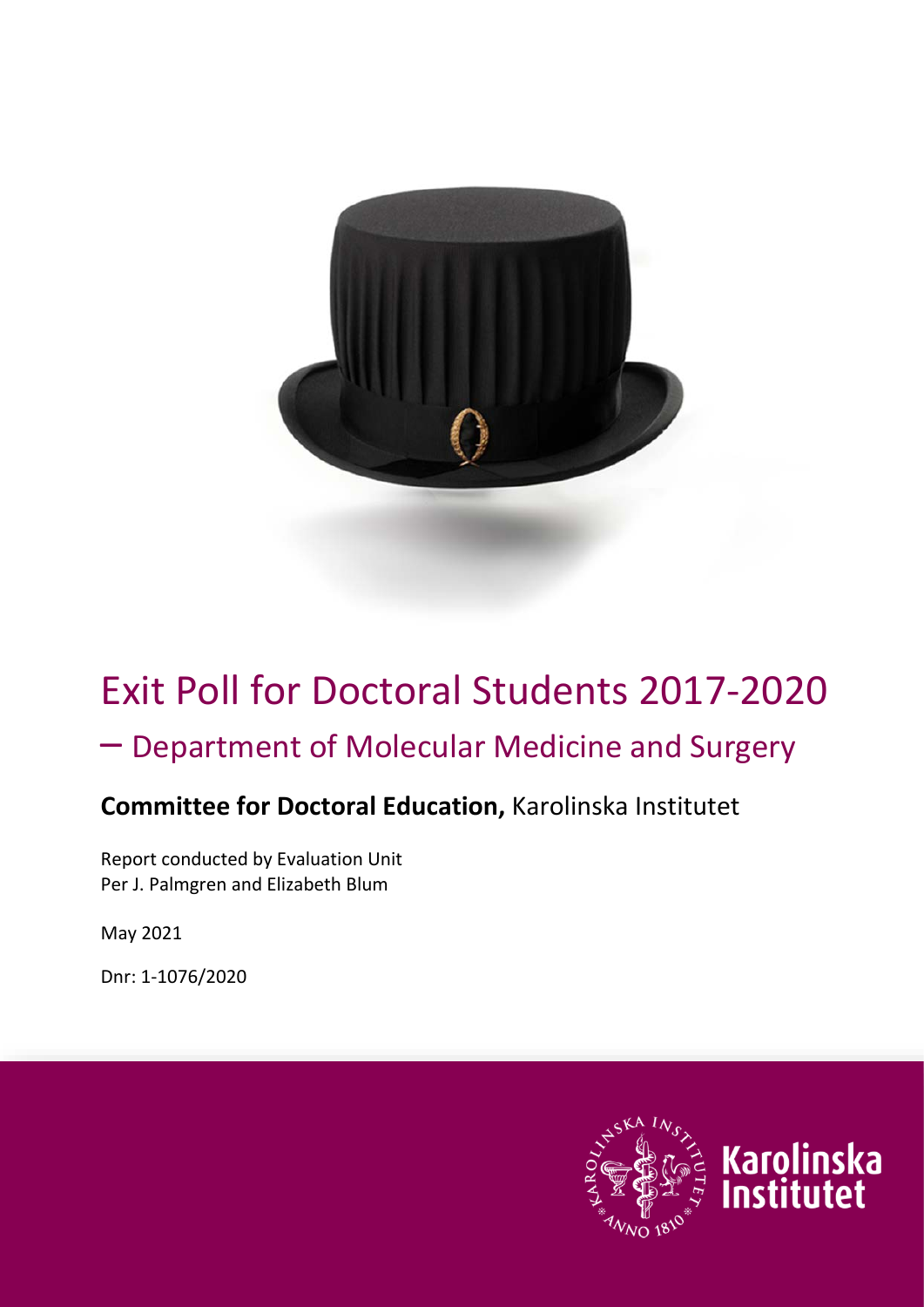

# Exit Poll for Doctoral Students 2017-2020

# – Department of Molecular Medicine and Surgery

# **Committee for Doctoral Education,** Karolinska Institutet

Report conducted by Evaluation Unit Per J. Palmgren and Elizabeth Blum

May 2021

Dnr: 1-1076/2020

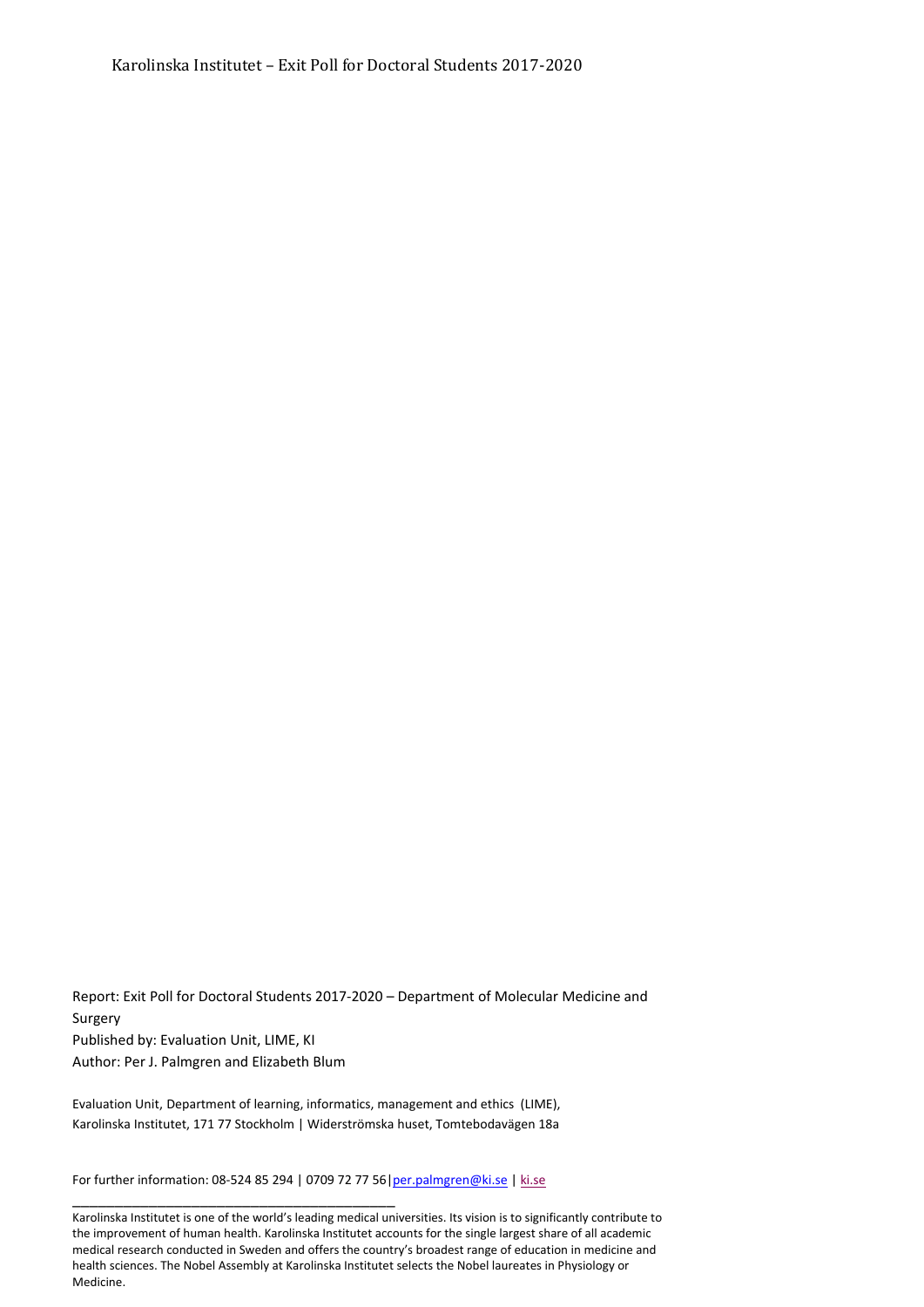Report: Exit Poll for Doctoral Students 2017-2020 – Department of Molecular Medicine and Surgery Published by: Evaluation Unit, LIME, KI Author: Per J. Palmgren and Elizabeth Blum

Evaluation Unit, Department of learning, informatics, management and ethics (LIME), Karolinska Institutet, 171 77 Stockholm | Widerströmska huset, Tomtebodavägen 18a

For further information: 08-524 85 294 | 0709 72 77 56[|per.palmgren@ki.se](mailto:per.palmgren@ki.se) | [ki.se](http://ki.se/ki/jsp/polopoly.jsp%3bjsessionid=aMdk8ad4iRL6OYOdFn?l=en&d=130)

\_\_\_\_\_\_\_\_\_\_\_\_\_\_\_\_\_\_\_\_\_\_\_\_\_\_\_\_\_\_\_\_\_\_\_\_\_\_

Karolinska Institutet is one of the world's leading medical universities. Its vision is to significantly contribute to the improvement of human health. Karolinska Institutet accounts for the single largest share of all academic medical research conducted in Sweden and offers the country's broadest range of education in medicine and health sciences. The Nobel Assembly at Karolinska Institutet selects the Nobel laureates in Physiology or Medicine.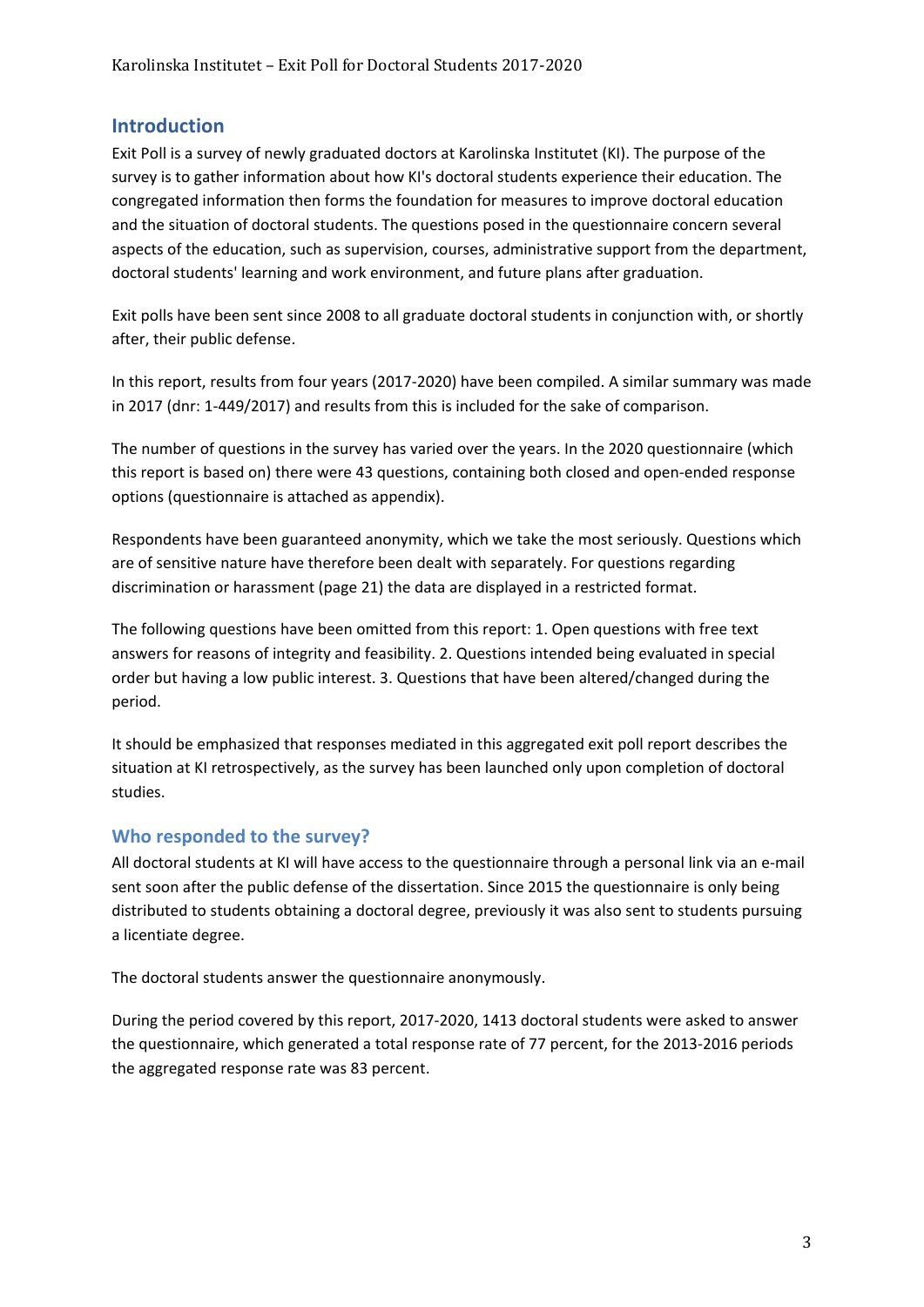#### **Introduction**

Exit Poll is a survey of newly graduated doctors at Karolinska Institutet (KI). The purpose of the survey is to gather information about how KI's doctoral students experience their education. The congregated information then forms the foundation for measures to improve doctoral education and the situation of doctoral students. The questions posed in the questionnaire concern several aspects of the education, such as supervision, courses, administrative support from the department, doctoral students' learning and work environment, and future plans after graduation.

Exit polls have been sent since 2008 to all graduate doctoral students in conjunction with, or shortly after, their public defense.

In this report, results from four years (2017-2020) have been compiled. A similar summary was made in 2017 (dnr: 1-449/2017) and results from this is included for the sake of comparison.

The number of questions in the survey has varied over the years. In the 2020 questionnaire (which this report is based on) there were 43 questions, containing both closed and open-ended response options (questionnaire is attached as appendix).

Respondents have been guaranteed anonymity, which we take the most seriously. Questions which are of sensitive nature have therefore been dealt with separately. For questions regarding discrimination or harassment (page 21) the data are displayed in a restricted format.

The following questions have been omitted from this report: 1. Open questions with free text answers for reasons of integrity and feasibility. 2. Questions intended being evaluated in special order but having a low public interest. 3. Questions that have been altered/changed during the period.

It should be emphasized that responses mediated in this aggregated exit poll report describes the situation at KI retrospectively, as the survey has been launched only upon completion of doctoral studies.

#### **Who responded to the survey?**

All doctoral students at KI will have access to the questionnaire through a personal link via an e-mail sent soon after the public defense of the dissertation. Since 2015 the questionnaire is only being distributed to students obtaining a doctoral degree, previously it was also sent to students pursuing a licentiate degree.

The doctoral students answer the questionnaire anonymously.

During the period covered by this report, 2017-2020, 1413 doctoral students were asked to answer the questionnaire, which generated a total response rate of 77 percent, for the 2013-2016 periods the aggregated response rate was 83 percent.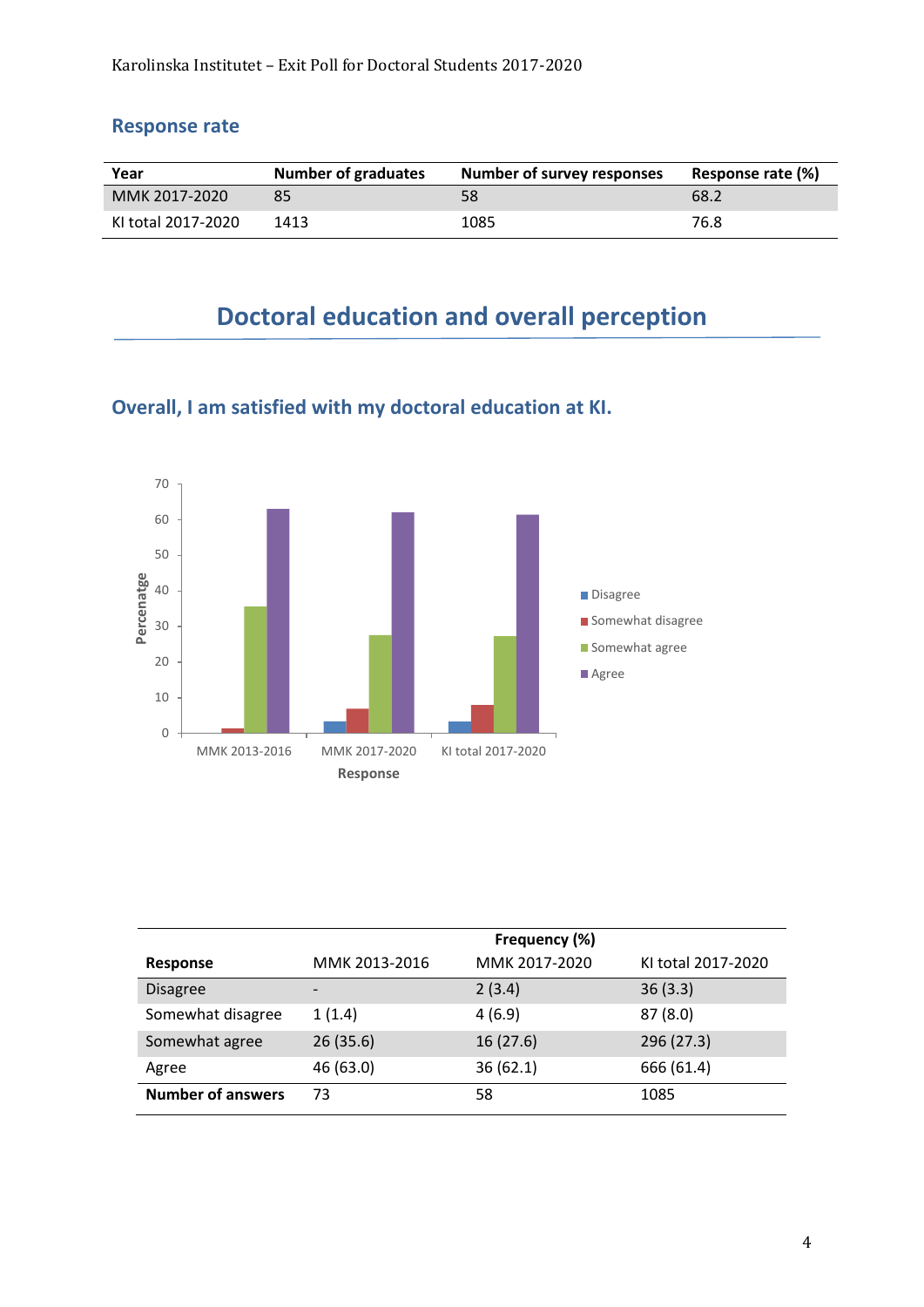#### **Response rate**

| Year               | <b>Number of graduates</b> | Number of survey responses | Response rate (%) |
|--------------------|----------------------------|----------------------------|-------------------|
| MMK 2017-2020      |                            | 58                         | 68.2              |
| KI total 2017-2020 | 1413                       | 1085                       | 76.8              |

# **Doctoral education and overall perception**



**Overall, I am satisfied with my doctoral education at KI.**

|                          | Frequency (%)            |               |                    |
|--------------------------|--------------------------|---------------|--------------------|
| <b>Response</b>          | MMK 2013-2016            | MMK 2017-2020 | KI total 2017-2020 |
| <b>Disagree</b>          | $\overline{\phantom{a}}$ | 2(3.4)        | 36(3.3)            |
| Somewhat disagree        | 1(1.4)                   | 4(6.9)        | 87(8.0)            |
| Somewhat agree           | 26(35.6)                 | 16(27.6)      | 296 (27.3)         |
| Agree                    | 46 (63.0)                | 36(62.1)      | 666 (61.4)         |
| <b>Number of answers</b> | 73                       | 58            | 1085               |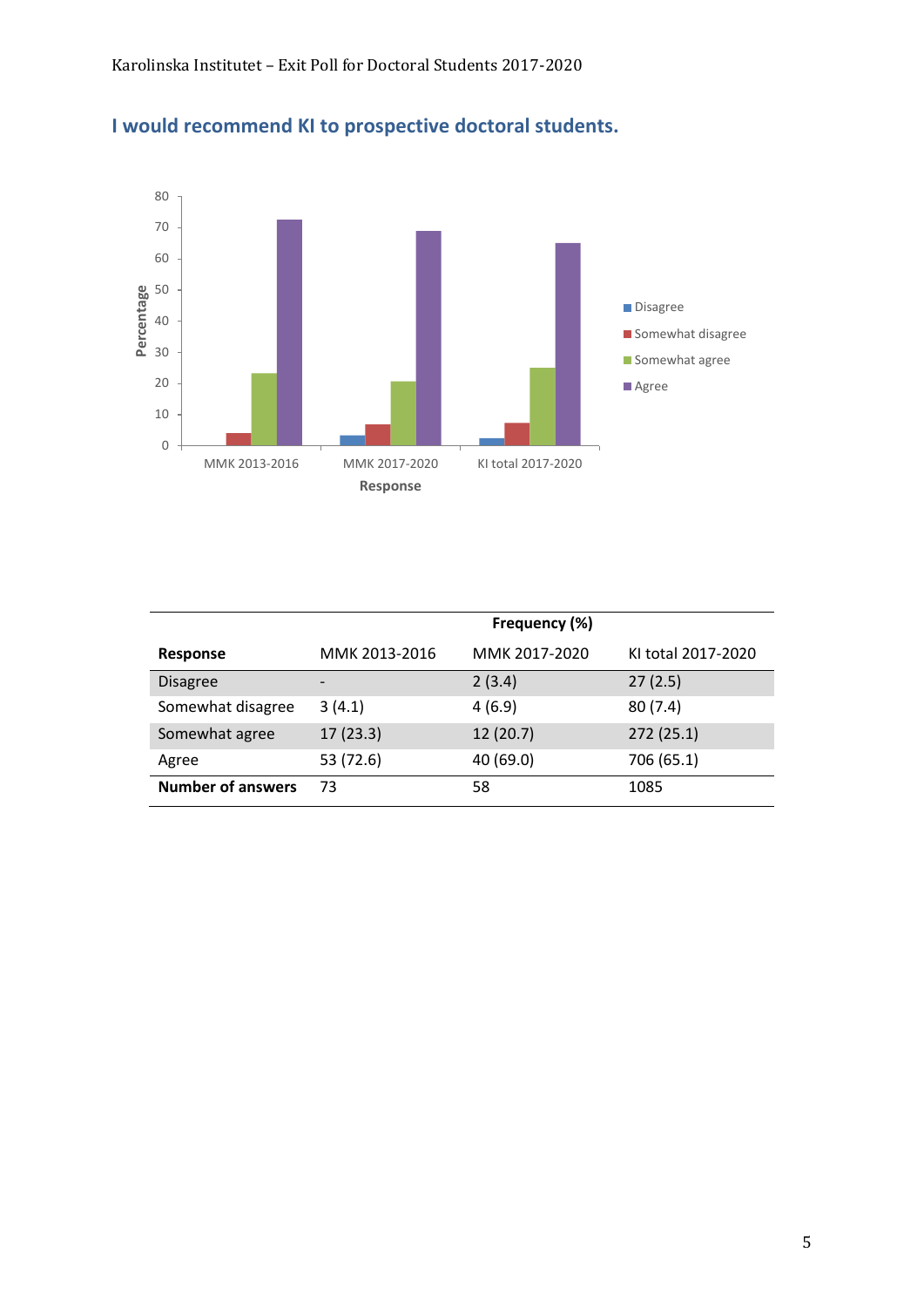

#### **I would recommend KI to prospective doctoral students.**

|                          | Frequency (%)            |               |                    |
|--------------------------|--------------------------|---------------|--------------------|
| <b>Response</b>          | MMK 2013-2016            | MMK 2017-2020 | KI total 2017-2020 |
| <b>Disagree</b>          | $\overline{\phantom{0}}$ | 2(3.4)        | 27(2.5)            |
| Somewhat disagree        | 3(4.1)                   | 4(6.9)        | 80(7.4)            |
| Somewhat agree           | 17(23.3)                 | 12(20.7)      | 272(25.1)          |
| Agree                    | 53 (72.6)                | 40 (69.0)     | 706 (65.1)         |
| <b>Number of answers</b> | 73                       | 58            | 1085               |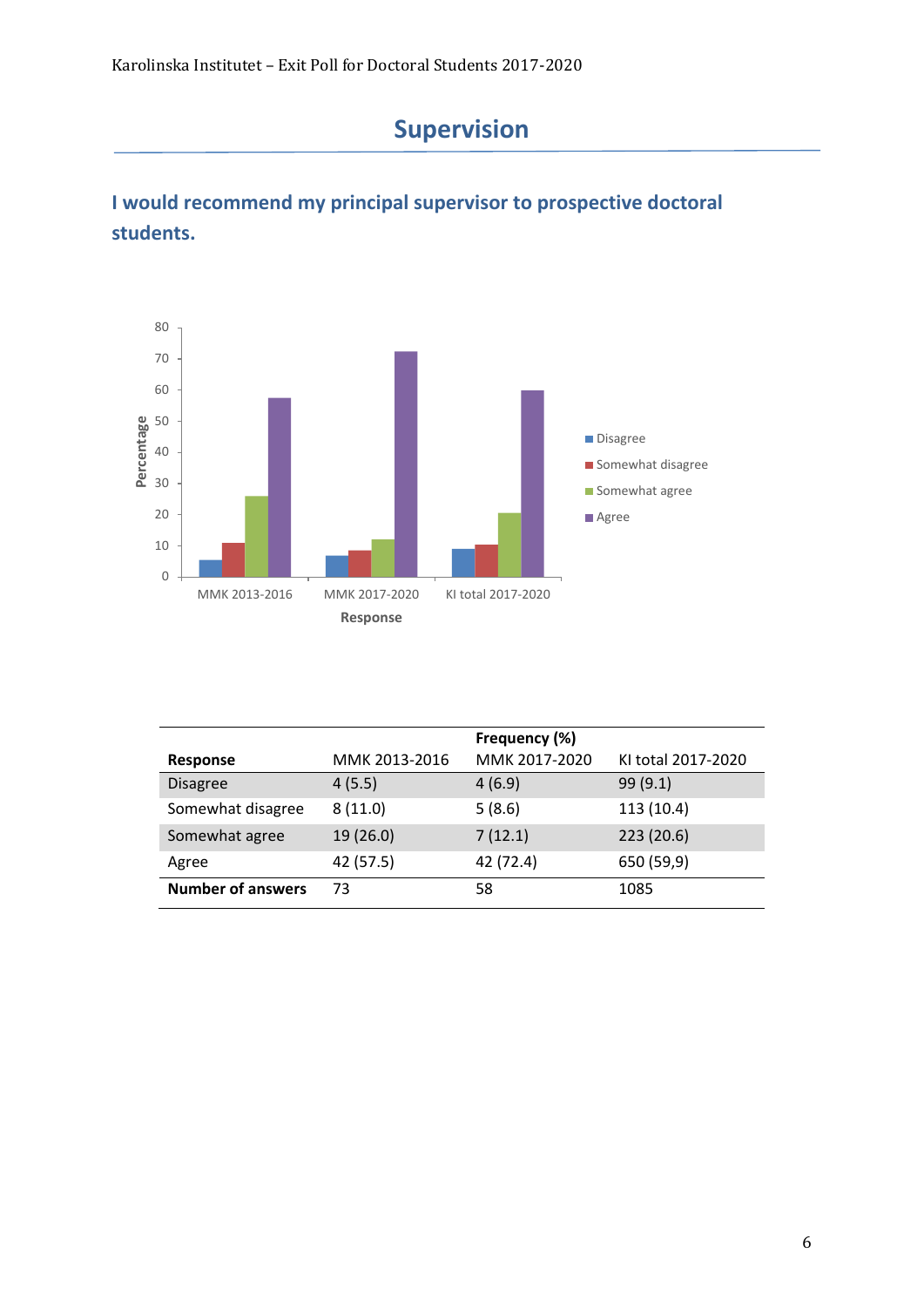

# **I would recommend my principal supervisor to prospective doctoral students.**



|                          |               | Frequency (%) |                    |
|--------------------------|---------------|---------------|--------------------|
| Response                 | MMK 2013-2016 | MMK 2017-2020 | KI total 2017-2020 |
| <b>Disagree</b>          | 4(5.5)        | 4(6.9)        | 99 (9.1)           |
| Somewhat disagree        | 8(11.0)       | 5(8.6)        | 113 (10.4)         |
| Somewhat agree           | 19 (26.0)     | 7(12.1)       | 223 (20.6)         |
| Agree                    | 42 (57.5)     | 42 (72.4)     | 650 (59,9)         |
| <b>Number of answers</b> | 73            | 58            | 1085               |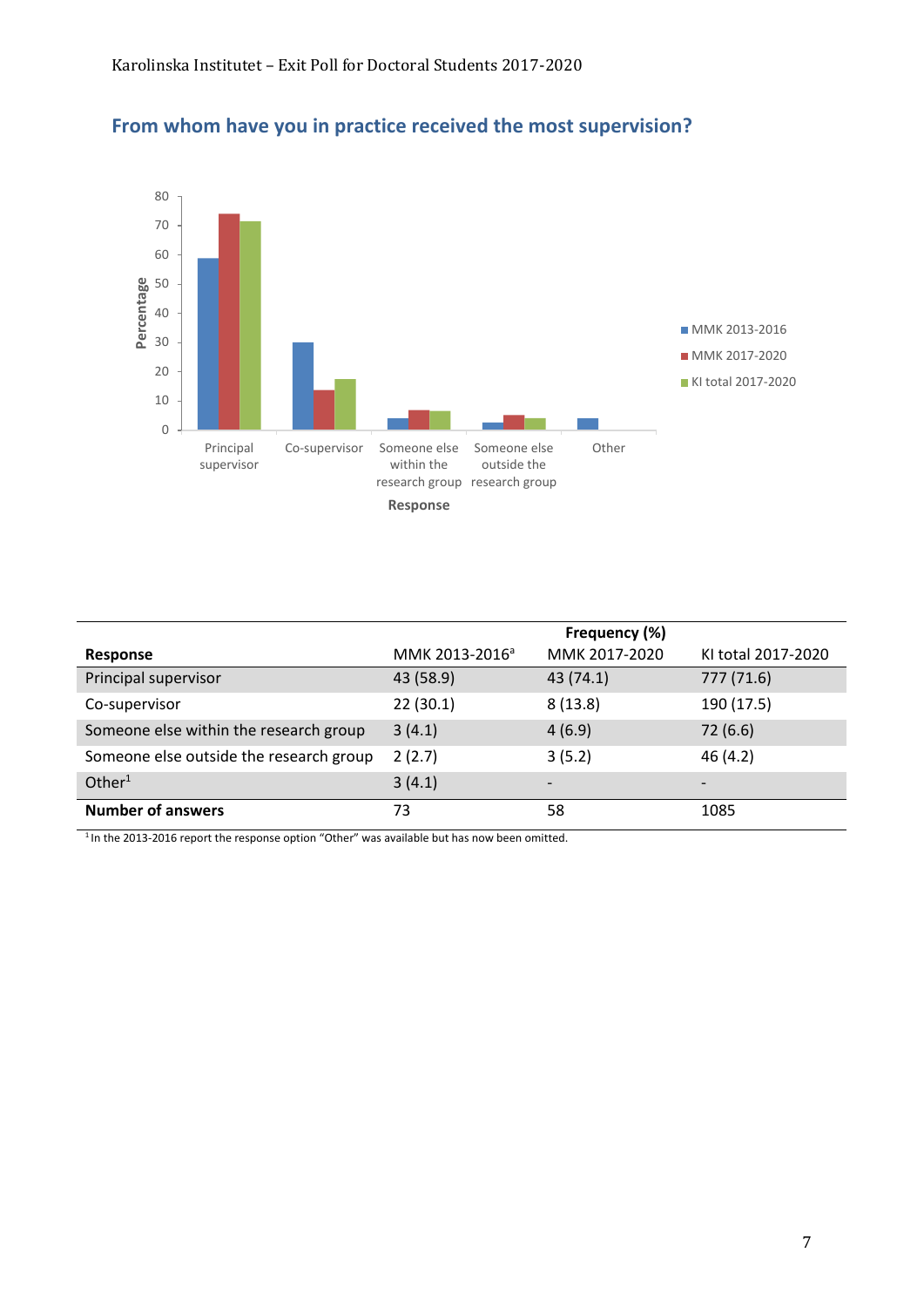

#### **From whom have you in practice received the most supervision?**

|                                         | Frequency (%)              |                          |                          |
|-----------------------------------------|----------------------------|--------------------------|--------------------------|
| Response                                | MMK 2013-2016 <sup>a</sup> | MMK 2017-2020            | KI total 2017-2020       |
| Principal supervisor                    | 43 (58.9)                  | 43 (74.1)                | 777 (71.6)               |
| Co-supervisor                           | 22(30.1)                   | 8(13.8)                  | 190 (17.5)               |
| Someone else within the research group  | 3(4.1)                     | 4(6.9)                   | 72(6.6)                  |
| Someone else outside the research group | 2(2.7)                     | 3(5.2)                   | 46(4.2)                  |
| Other $1$                               | 3(4.1)                     | $\overline{\phantom{0}}$ | $\overline{\phantom{a}}$ |
| <b>Number of answers</b>                | 73                         | 58                       | 1085                     |

<sup>1</sup> In the 2013-2016 report the response option "Other" was available but has now been omitted.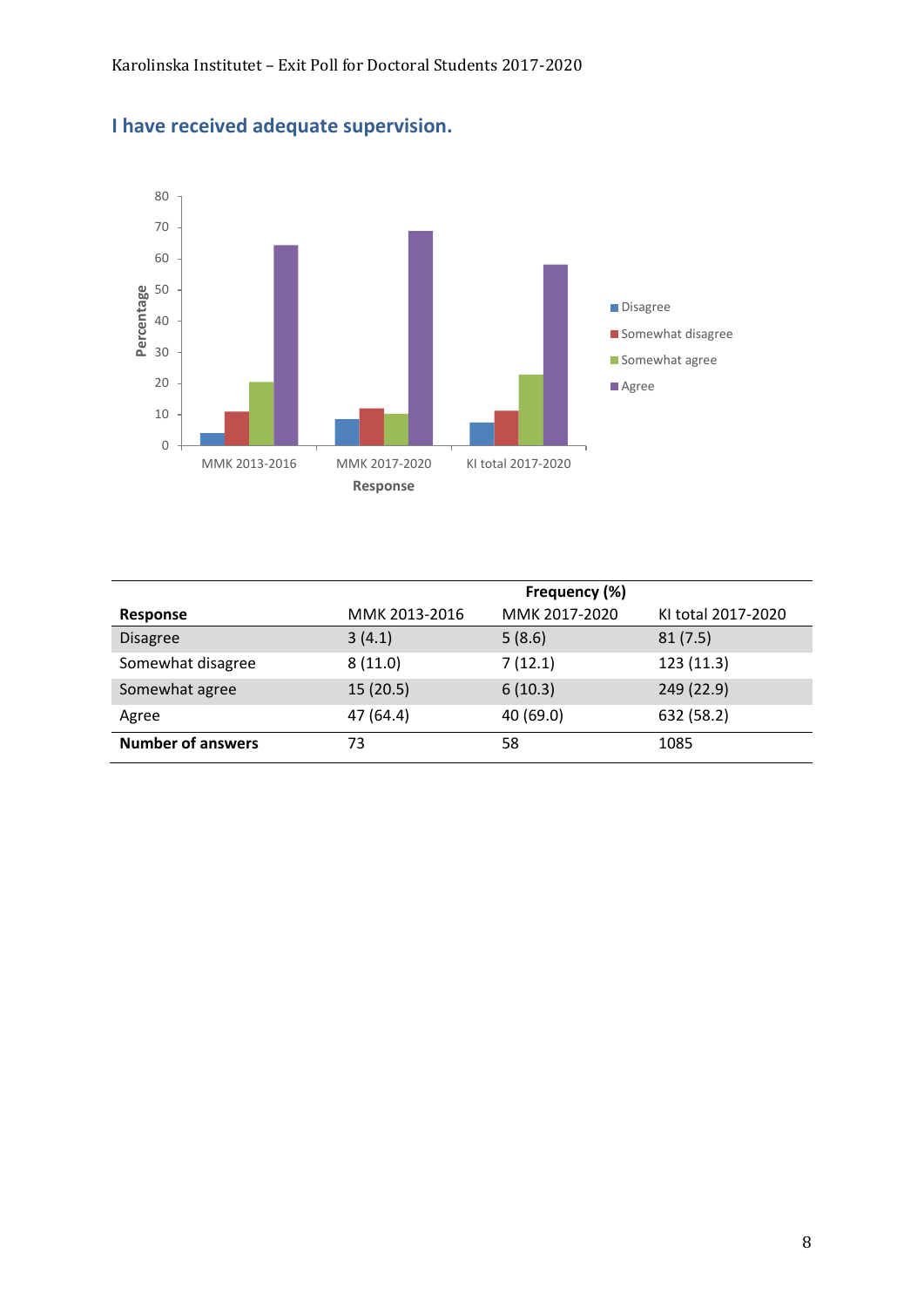

## **I have received adequate supervision.**

|                          | Frequency (%) |               |                    |
|--------------------------|---------------|---------------|--------------------|
| Response                 | MMK 2013-2016 | MMK 2017-2020 | KI total 2017-2020 |
| <b>Disagree</b>          | 3(4.1)        | 5(8.6)        | 81(7.5)            |
| Somewhat disagree        | 8(11.0)       | 7(12.1)       | 123 (11.3)         |
| Somewhat agree           | 15(20.5)      | 6(10.3)       | 249 (22.9)         |
| Agree                    | 47 (64.4)     | 40 (69.0)     | 632 (58.2)         |
| <b>Number of answers</b> | 73            | 58            | 1085               |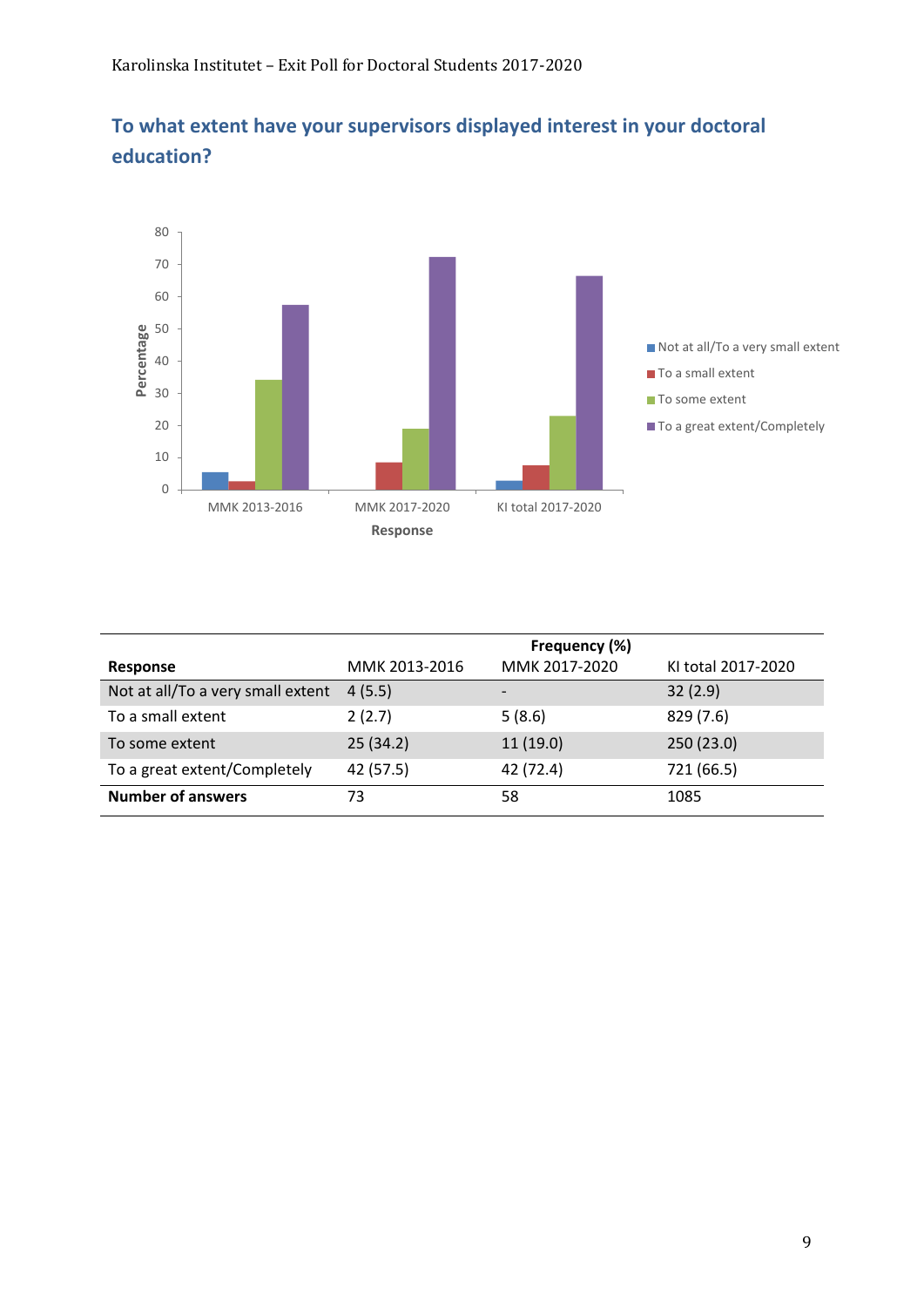

#### **To what extent have your supervisors displayed interest in your doctoral education?**

|                                   |               | Frequency (%)            |                    |
|-----------------------------------|---------------|--------------------------|--------------------|
| Response                          | MMK 2013-2016 | MMK 2017-2020            | KI total 2017-2020 |
| Not at all/To a very small extent | 4(5.5)        | $\overline{\phantom{0}}$ | 32(2.9)            |
| To a small extent                 | 2(2.7)        | 5(8.6)                   | 829 (7.6)          |
| To some extent                    | 25(34.2)      | 11(19.0)                 | 250 (23.0)         |
| To a great extent/Completely      | 42 (57.5)     | 42 (72.4)                | 721 (66.5)         |
| <b>Number of answers</b>          | 73            | 58                       | 1085               |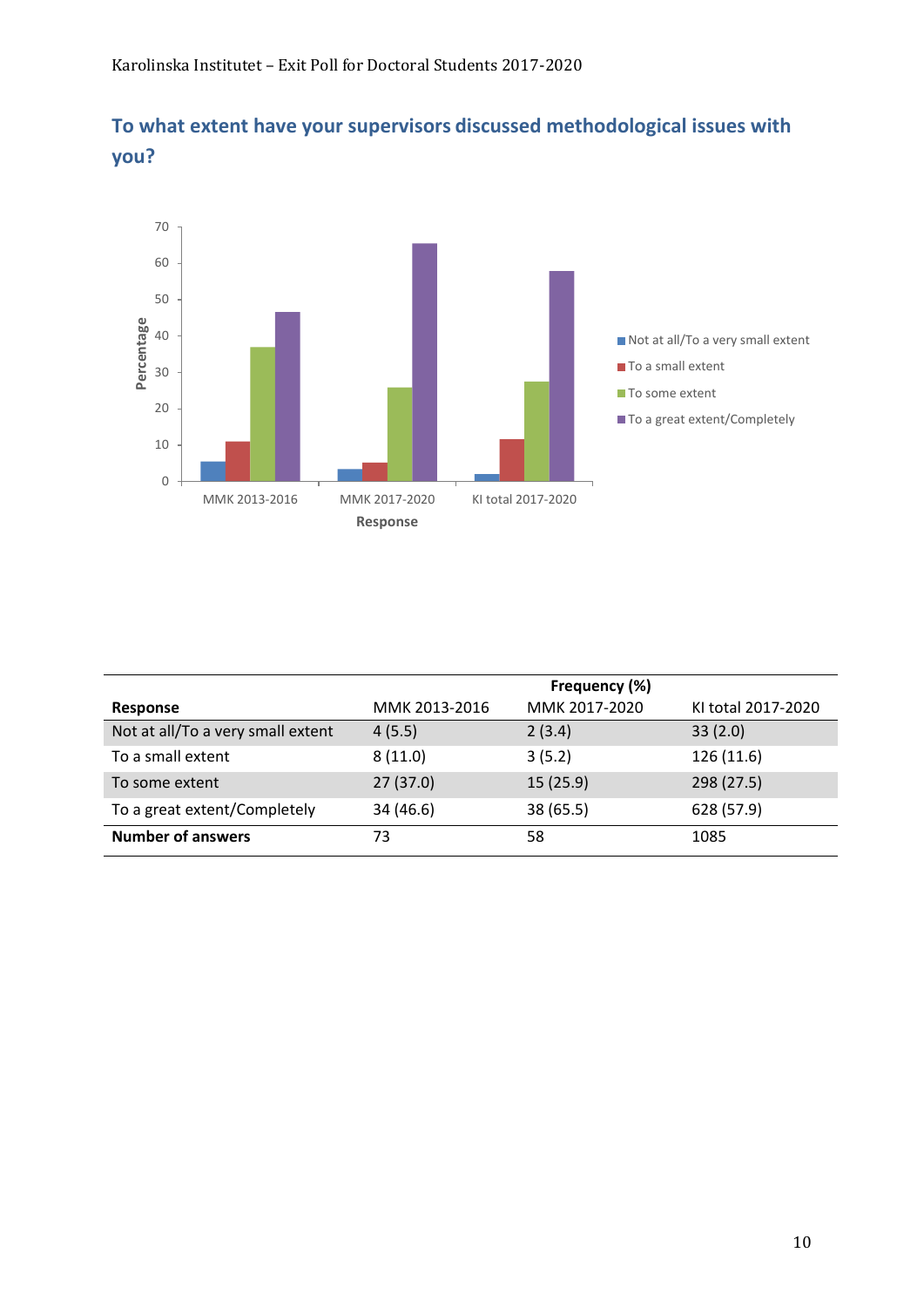



|                                   |               | Frequency (%) |                    |
|-----------------------------------|---------------|---------------|--------------------|
| Response                          | MMK 2013-2016 | MMK 2017-2020 | KI total 2017-2020 |
| Not at all/To a very small extent | 4(5.5)        | 2(3.4)        | 33(2.0)            |
| To a small extent                 | 8(11.0)       | 3(5.2)        | 126 (11.6)         |
| To some extent                    | 27(37.0)      | 15(25.9)      | 298 (27.5)         |
| To a great extent/Completely      | 34 (46.6)     | 38 (65.5)     | 628 (57.9)         |
| <b>Number of answers</b>          | 73            | 58            | 1085               |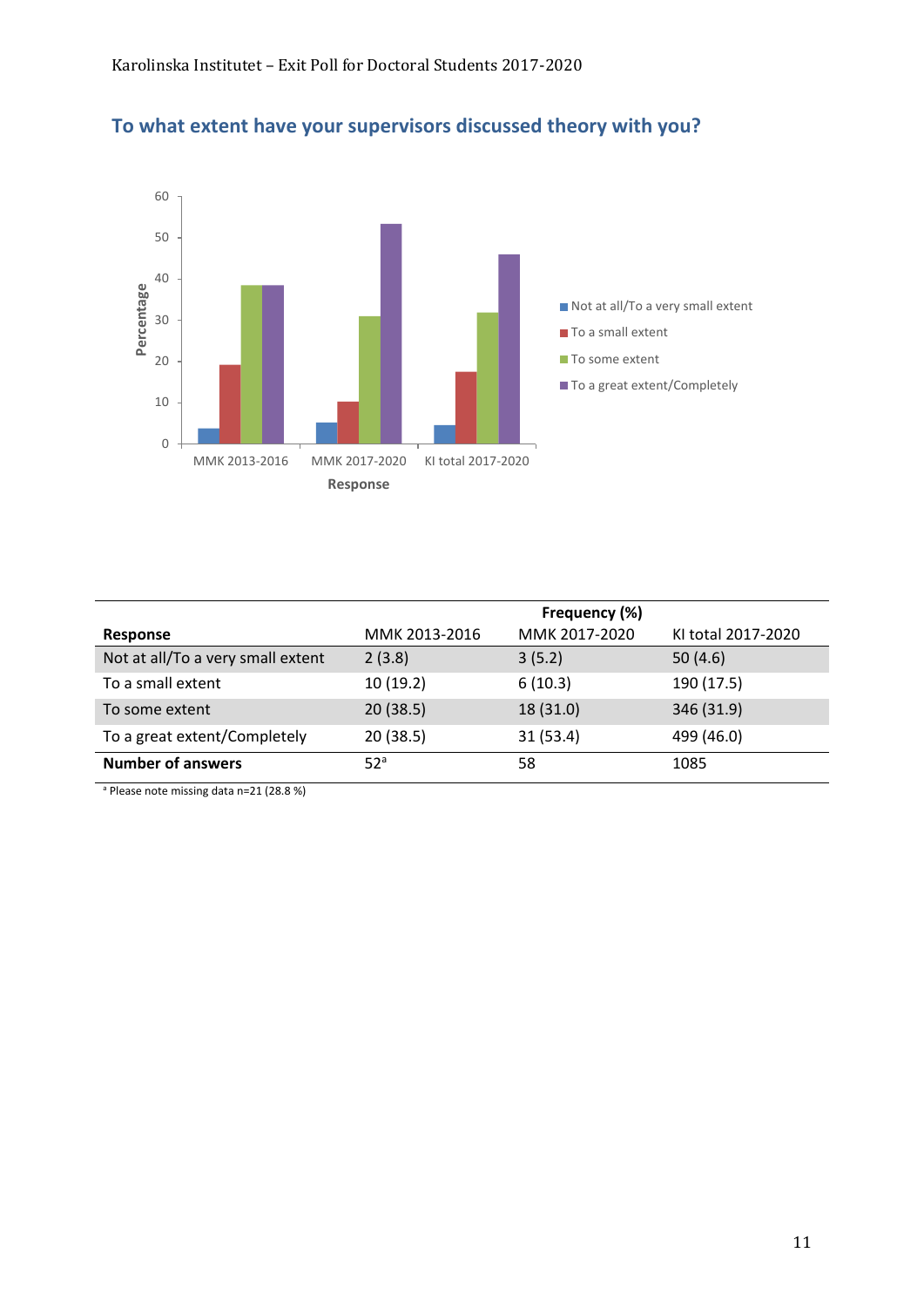

#### **To what extent have your supervisors discussed theory with you?**

|                                   |                 | Frequency (%) |                    |
|-----------------------------------|-----------------|---------------|--------------------|
| Response                          | MMK 2013-2016   | MMK 2017-2020 | KI total 2017-2020 |
| Not at all/To a very small extent | 2(3.8)          | 3(5.2)        | 50(4.6)            |
| To a small extent                 | 10(19.2)        | 6(10.3)       | 190 (17.5)         |
| To some extent                    | 20(38.5)        | 18 (31.0)     | 346 (31.9)         |
| To a great extent/Completely      | 20(38.5)        | 31(53.4)      | 499 (46.0)         |
| <b>Number of answers</b>          | 52 <sup>a</sup> | 58            | 1085               |

<sup>a</sup> Please note missing data n=21 (28.8 %)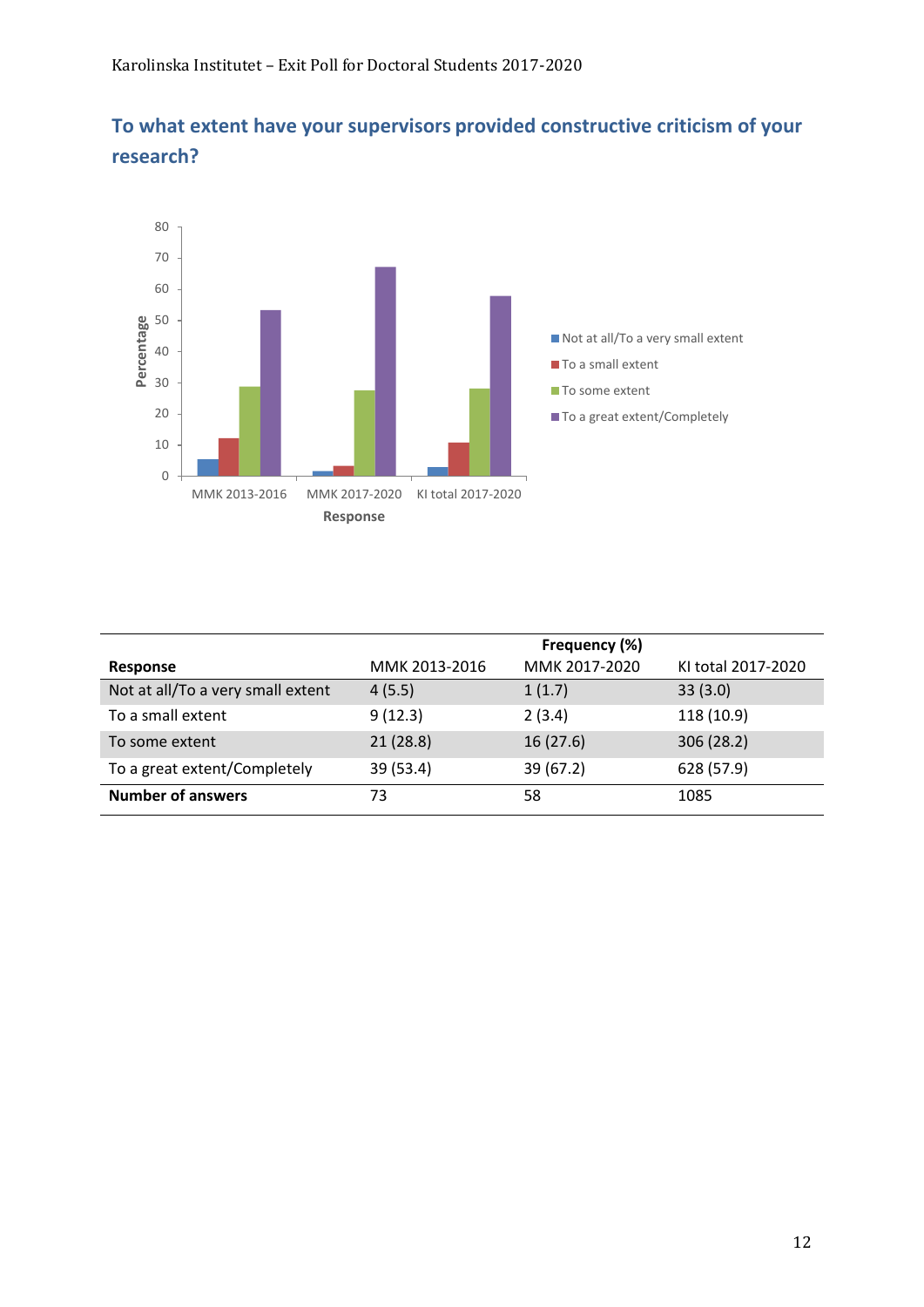

**To what extent have your supervisors provided constructive criticism of your research?**

|                                   |               | Frequency (%) |                    |
|-----------------------------------|---------------|---------------|--------------------|
| Response                          | MMK 2013-2016 | MMK 2017-2020 | KI total 2017-2020 |
| Not at all/To a very small extent | 4(5.5)        | 1(1.7)        | 33(3.0)            |
| To a small extent                 | 9(12.3)       | 2(3.4)        | 118 (10.9)         |
| To some extent                    | 21(28.8)      | 16(27.6)      | 306 (28.2)         |
| To a great extent/Completely      | 39 (53.4)     | 39 (67.2)     | 628 (57.9)         |
| <b>Number of answers</b>          | 73            | 58            | 1085               |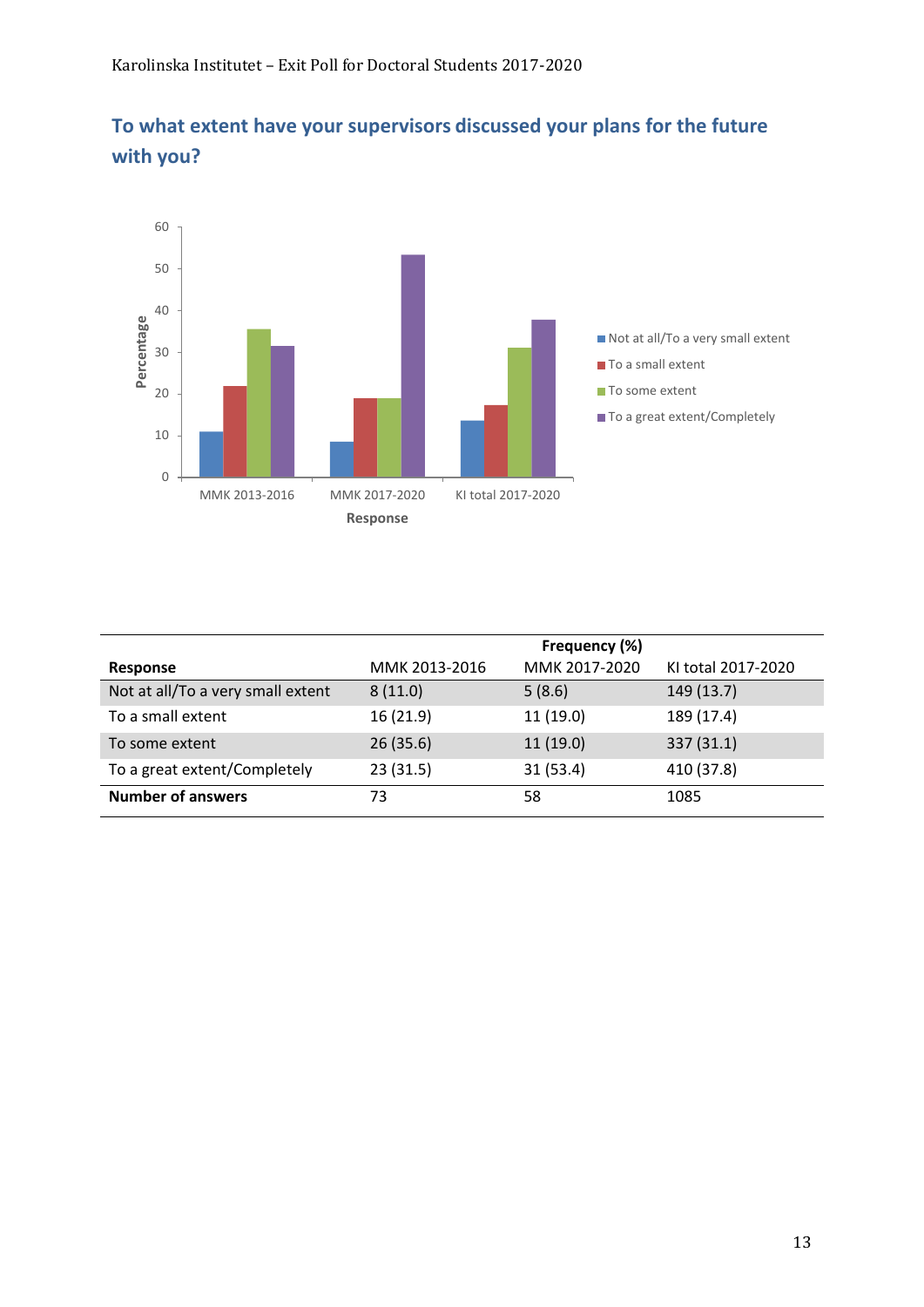



|                                   |               | Frequency (%) |                    |
|-----------------------------------|---------------|---------------|--------------------|
| Response                          | MMK 2013-2016 | MMK 2017-2020 | KI total 2017-2020 |
| Not at all/To a very small extent | 8(11.0)       | 5(8.6)        | 149 (13.7)         |
| To a small extent                 | 16(21.9)      | 11(19.0)      | 189 (17.4)         |
| To some extent                    | 26(35.6)      | 11(19.0)      | 337(31.1)          |
| To a great extent/Completely      | 23(31.5)      | 31(53.4)      | 410 (37.8)         |
| <b>Number of answers</b>          | 73            | 58            | 1085               |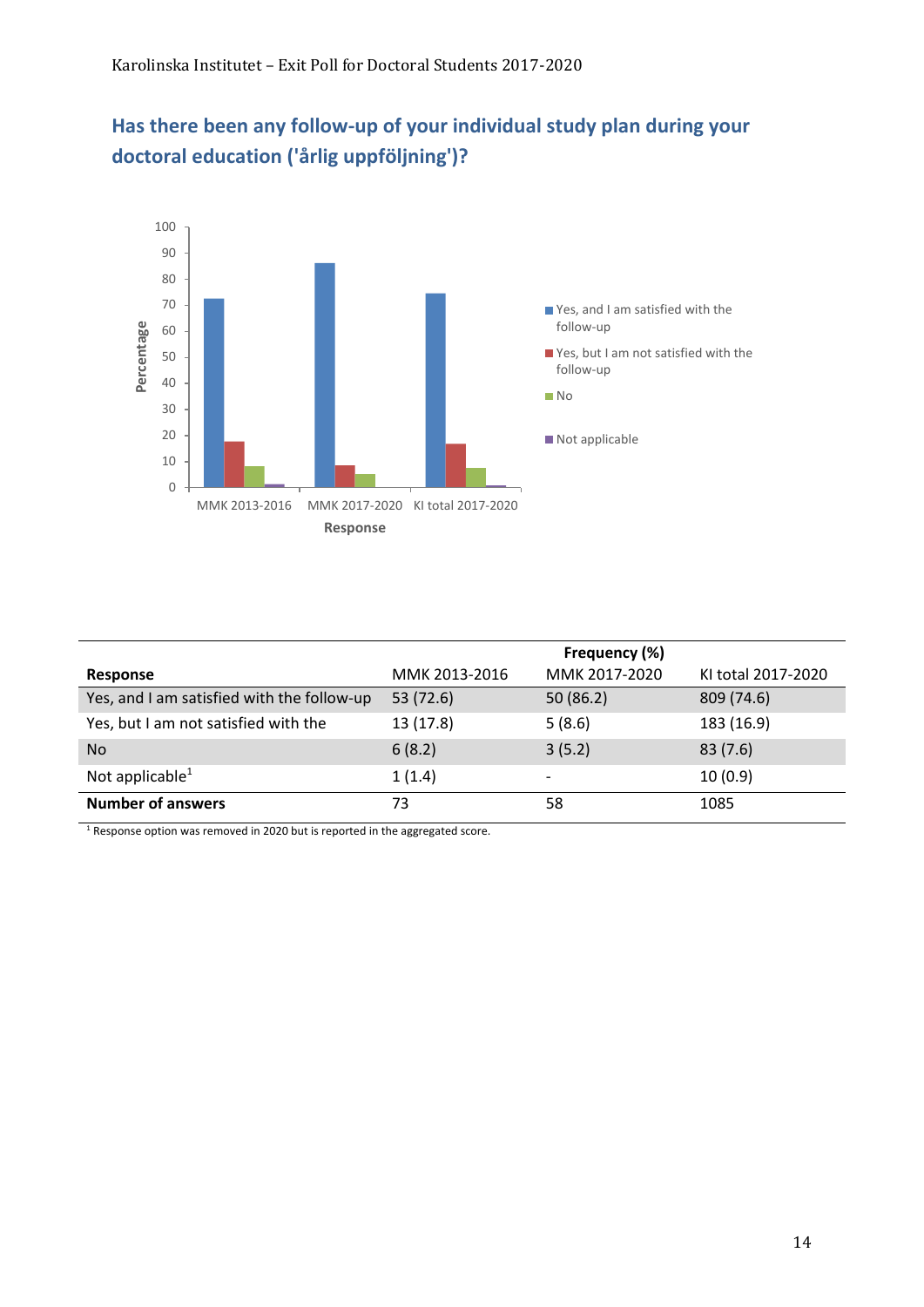



|                                            | Frequency (%) |               |                    |
|--------------------------------------------|---------------|---------------|--------------------|
| Response                                   | MMK 2013-2016 | MMK 2017-2020 | KI total 2017-2020 |
| Yes, and I am satisfied with the follow-up | 53 (72.6)     | 50(86.2)      | 809 (74.6)         |
| Yes, but I am not satisfied with the       | 13 (17.8)     | 5(8.6)        | 183 (16.9)         |
| <b>No</b>                                  | 6(8.2)        | 3(5.2)        | 83(7.6)            |
| Not applicable $1$                         | 1(1.4)        |               | 10(0.9)            |
| <b>Number of answers</b>                   | 73            | 58            | 1085               |

 $1$  Response option was removed in 2020 but is reported in the aggregated score.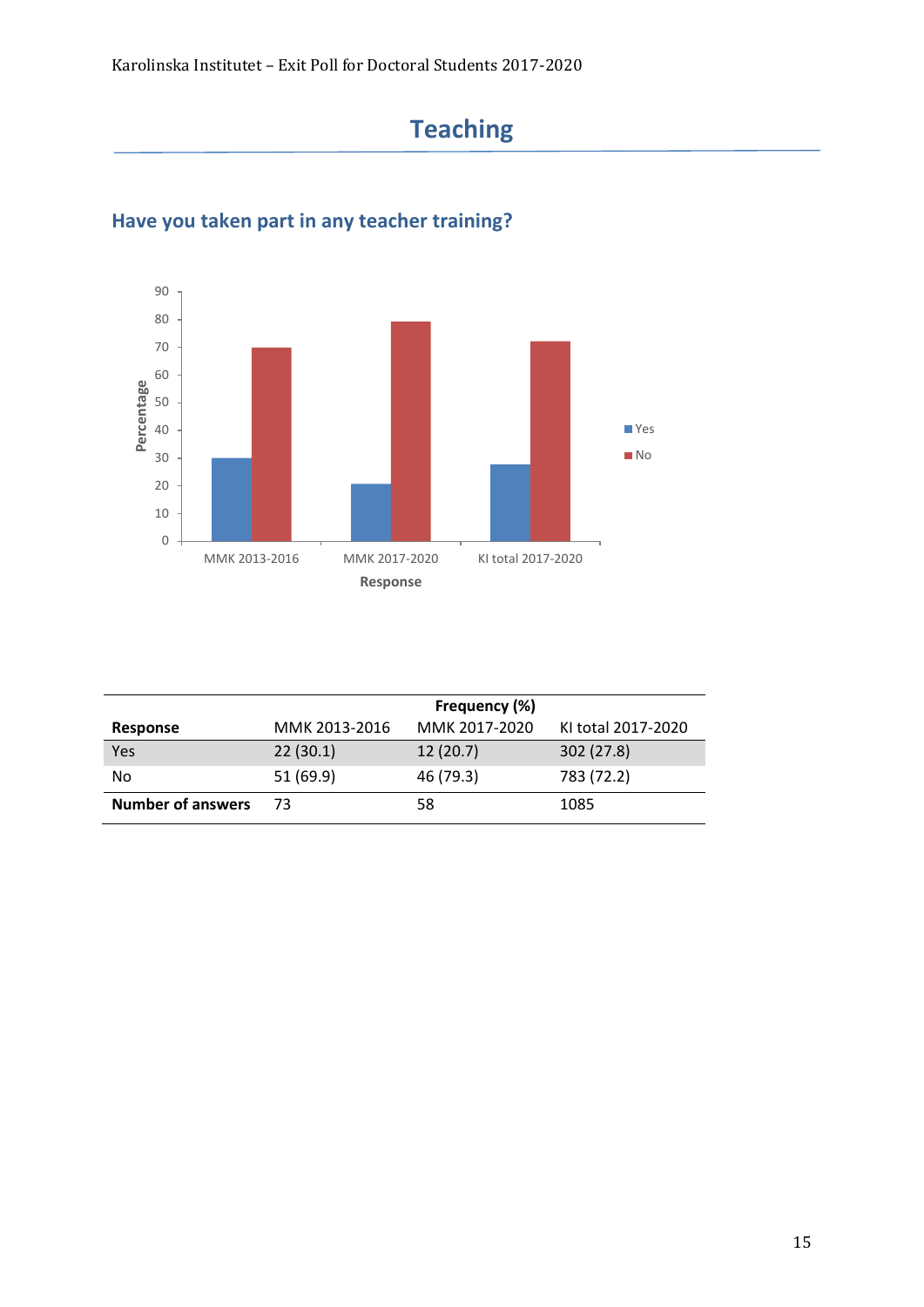# **Teaching**



### **Have you taken part in any teacher training?**

|                          | Frequency (%) |               |                    |
|--------------------------|---------------|---------------|--------------------|
| Response                 | MMK 2013-2016 | MMK 2017-2020 | KI total 2017-2020 |
| Yes                      | 22(30.1)      | 12(20.7)      | 302 (27.8)         |
| No                       | 51 (69.9)     | 46 (79.3)     | 783 (72.2)         |
| <b>Number of answers</b> | 73            | 58            | 1085               |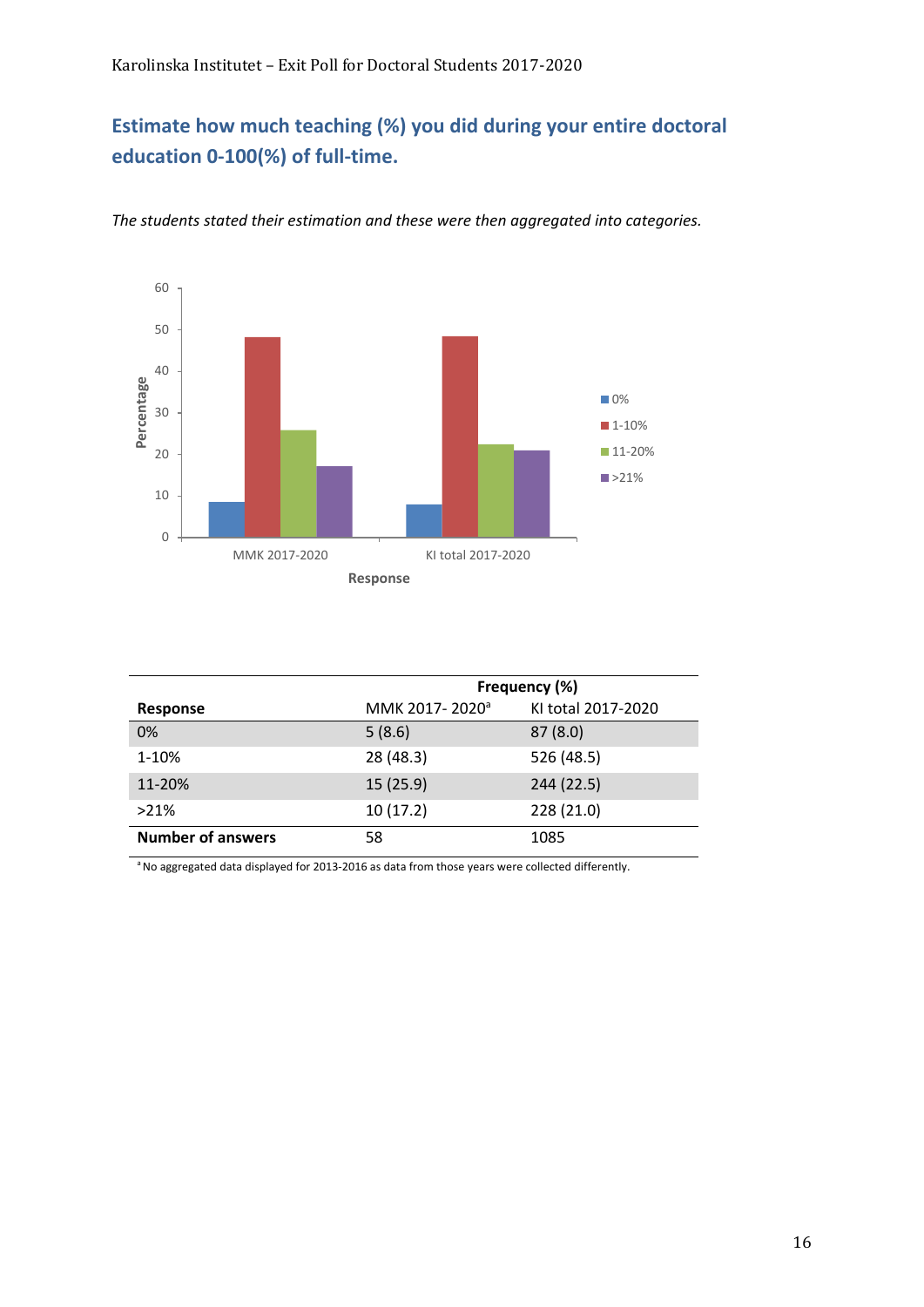#### **Estimate how much teaching (%) you did during your entire doctoral education 0-100(%) of full-time.**



*The students stated their estimation and these were then aggregated into categories.*

|                          | Frequency (%)              |                    |  |
|--------------------------|----------------------------|--------------------|--|
| <b>Response</b>          | MMK 2017-2020 <sup>a</sup> | KI total 2017-2020 |  |
| 0%                       | 5(8.6)                     | 87(8.0)            |  |
| 1-10%                    | 28 (48.3)                  | 526 (48.5)         |  |
| 11-20%                   | 15(25.9)                   | 244 (22.5)         |  |
| $>21\%$                  | 10(17.2)                   | 228 (21.0)         |  |
| <b>Number of answers</b> | 58                         | 1085               |  |

<sup>a</sup> No aggregated data displayed for 2013-2016 as data from those years were collected differently.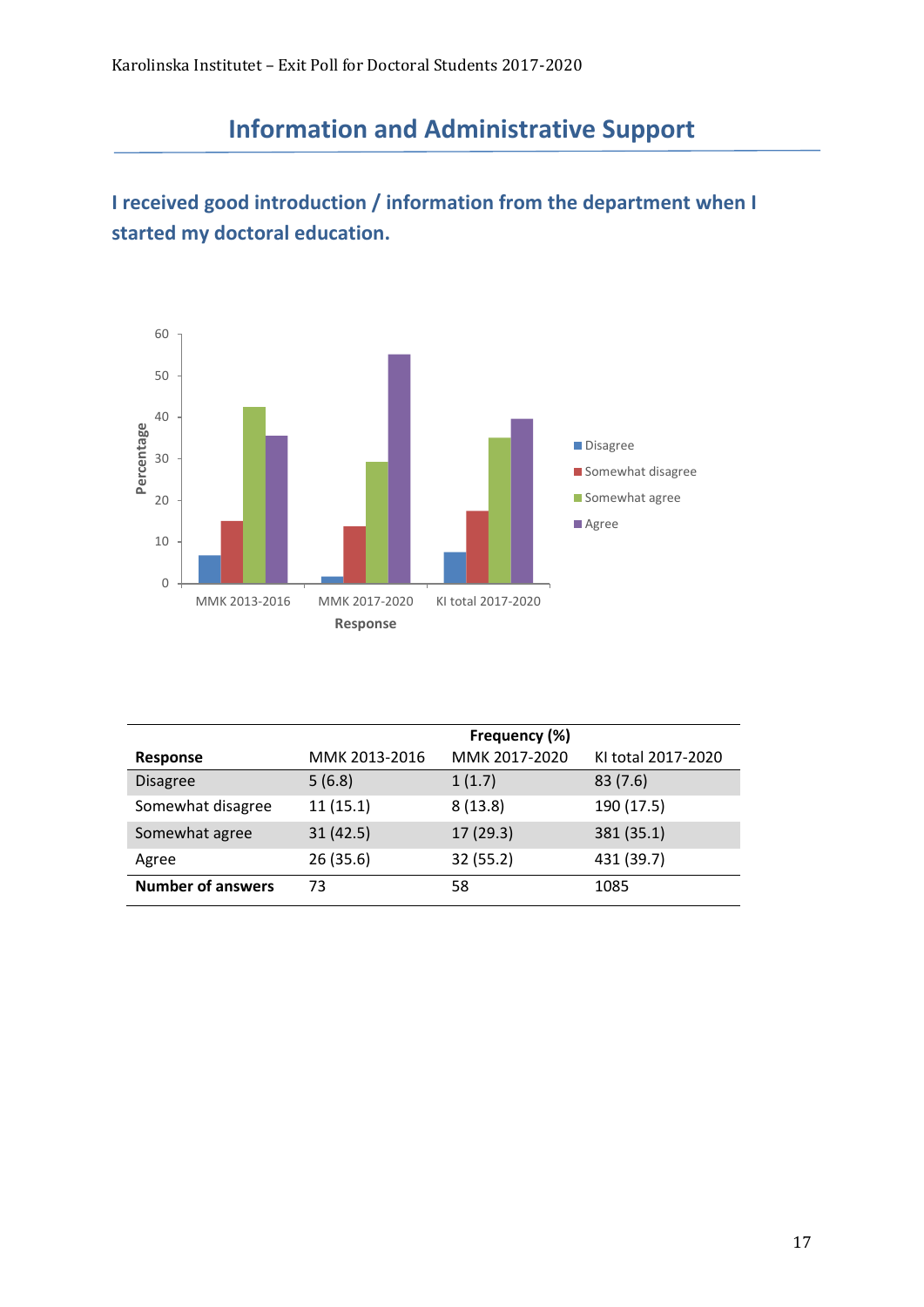# **Information and Administrative Support**

### **I received good introduction / information from the department when I started my doctoral education.**



|                          | Frequency (%) |               |                    |
|--------------------------|---------------|---------------|--------------------|
| Response                 | MMK 2013-2016 | MMK 2017-2020 | KI total 2017-2020 |
| <b>Disagree</b>          | 5(6.8)        | 1(1.7)        | 83(7.6)            |
| Somewhat disagree        | 11(15.1)      | 8(13.8)       | 190 (17.5)         |
| Somewhat agree           | 31(42.5)      | 17(29.3)      | 381 (35.1)         |
| Agree                    | 26 (35.6)     | 32 (55.2)     | 431 (39.7)         |
| <b>Number of answers</b> | 73            | 58            | 1085               |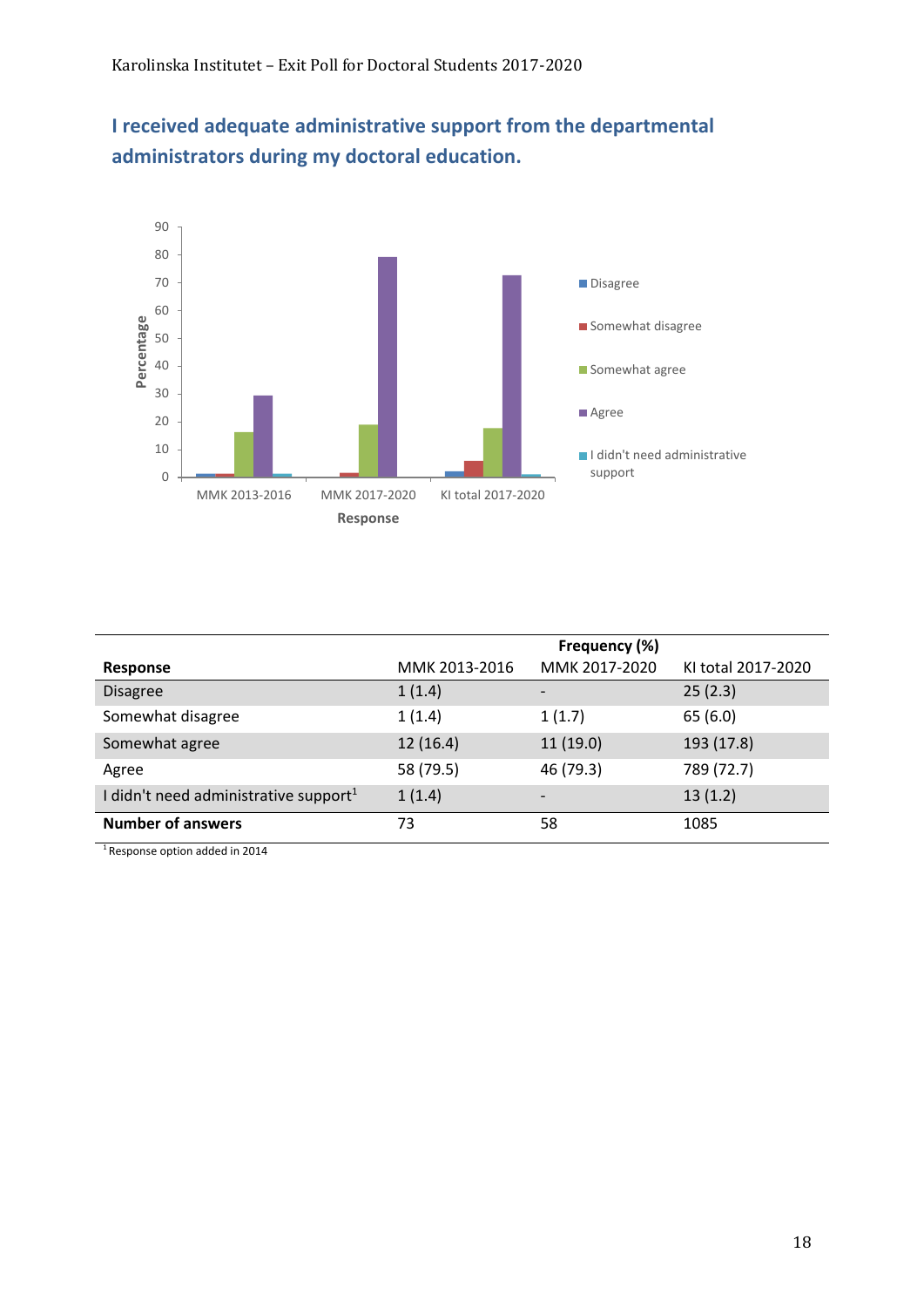



|                                                   |               | Frequency (%) |                    |
|---------------------------------------------------|---------------|---------------|--------------------|
| Response                                          | MMK 2013-2016 | MMK 2017-2020 | KI total 2017-2020 |
| <b>Disagree</b>                                   | 1(1.4)        |               | 25(2.3)            |
| Somewhat disagree                                 | 1(1.4)        | 1(1.7)        | 65(6.0)            |
| Somewhat agree                                    | 12(16.4)      | 11(19.0)      | 193 (17.8)         |
| Agree                                             | 58 (79.5)     | 46 (79.3)     | 789 (72.7)         |
| I didn't need administrative support <sup>1</sup> | 1(1.4)        |               | 13(1.2)            |
| <b>Number of answers</b>                          | 73            | 58            | 1085               |

1 Response option added in 2014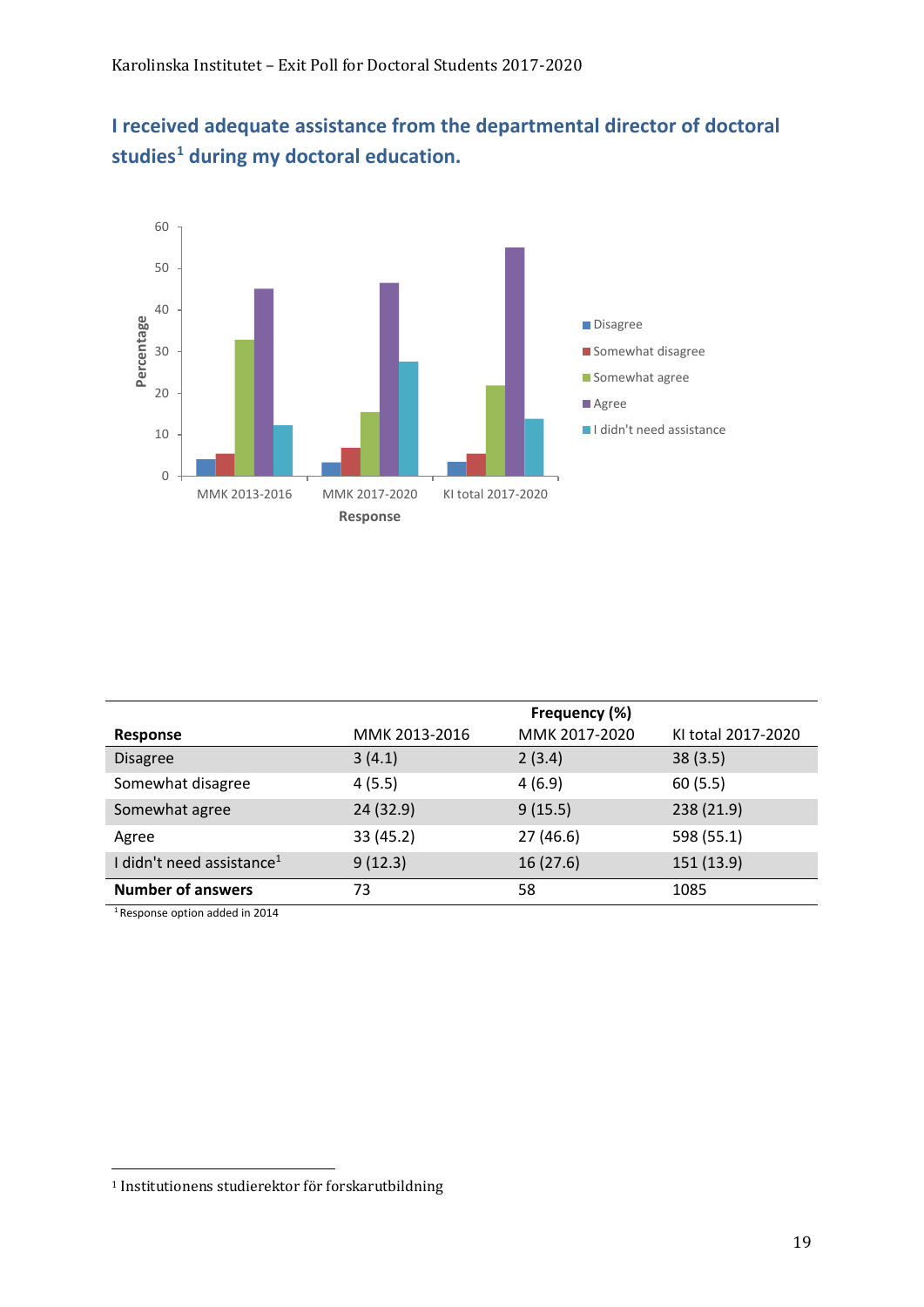## **I received adequate assistance from the departmental director of doctoral studies[1](#page-18-0) during my doctoral education.**



|                                       | Frequency (%) |               |                    |
|---------------------------------------|---------------|---------------|--------------------|
| <b>Response</b>                       | MMK 2013-2016 | MMK 2017-2020 | KI total 2017-2020 |
| <b>Disagree</b>                       | 3(4.1)        | 2(3.4)        | 38(3.5)            |
| Somewhat disagree                     | 4(5.5)        | 4(6.9)        | 60(5.5)            |
| Somewhat agree                        | 24 (32.9)     | 9(15.5)       | 238 (21.9)         |
| Agree                                 | 33 (45.2)     | 27(46.6)      | 598 (55.1)         |
| I didn't need assistance <sup>1</sup> | 9(12.3)       | 16(27.6)      | 151 (13.9)         |
| <b>Number of answers</b>              | 73            | 58            | 1085               |

1 Response option added in 2014

<span id="page-18-0"></span><sup>1</sup> Institutionens studierektor för forskarutbildning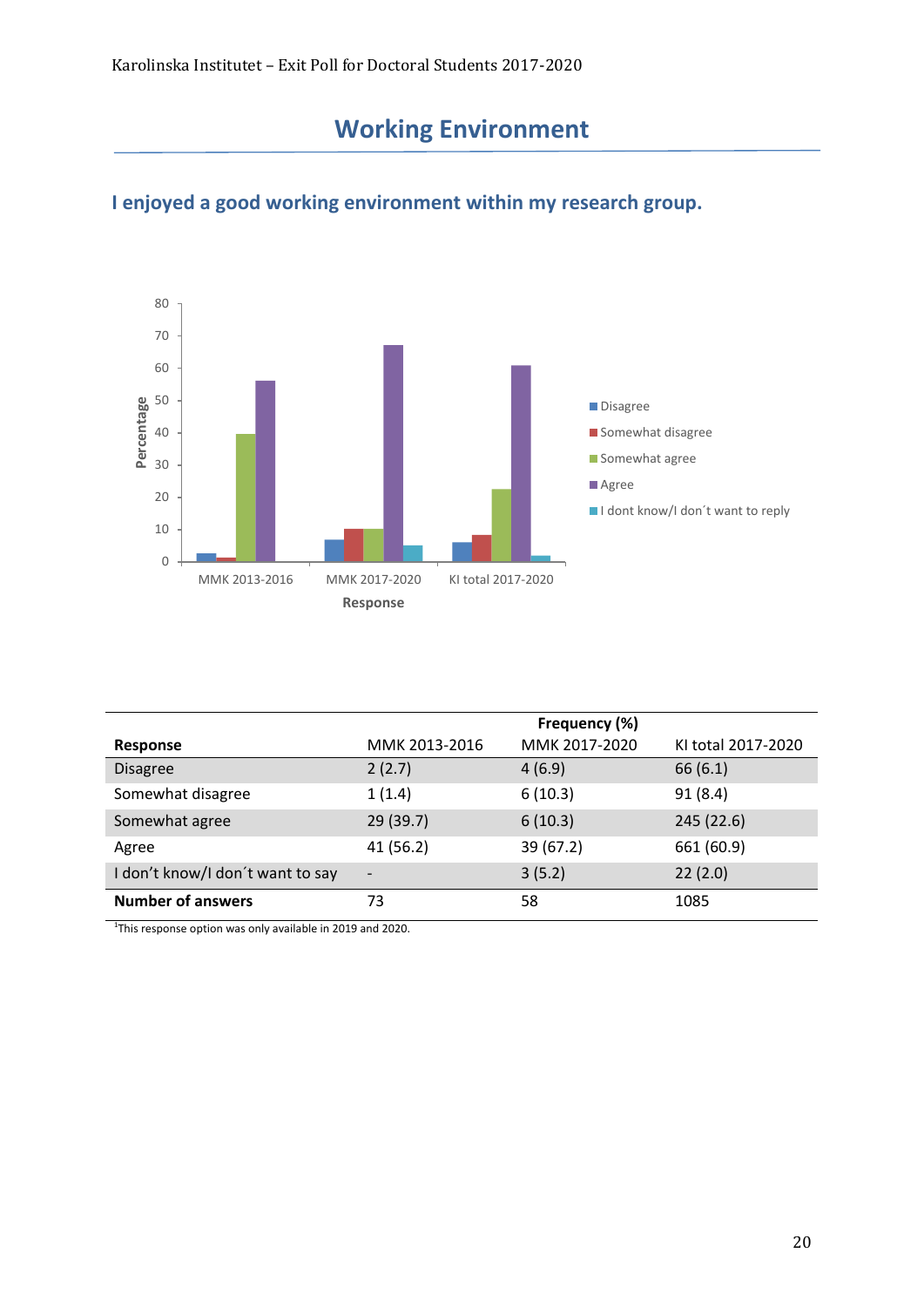# **Working Environment**



#### **I enjoyed a good working environment within my research group.**

|                                  |                   | Frequency (%) |                    |
|----------------------------------|-------------------|---------------|--------------------|
| Response                         | MMK 2013-2016     | MMK 2017-2020 | KI total 2017-2020 |
| <b>Disagree</b>                  | 2(2.7)            | 4(6.9)        | 66(6.1)            |
| Somewhat disagree                | 1(1.4)            | 6(10.3)       | 91(8.4)            |
| Somewhat agree                   | 29 (39.7)         | 6(10.3)       | 245 (22.6)         |
| Agree                            | 41 (56.2)         | 39(67.2)      | 661 (60.9)         |
| I don't know/I don't want to say | $\qquad \qquad -$ | 3(5.2)        | 22(2.0)            |
| <b>Number of answers</b>         | 73                | 58            | 1085               |

<sup>1</sup>This response option was only available in 2019 and 2020.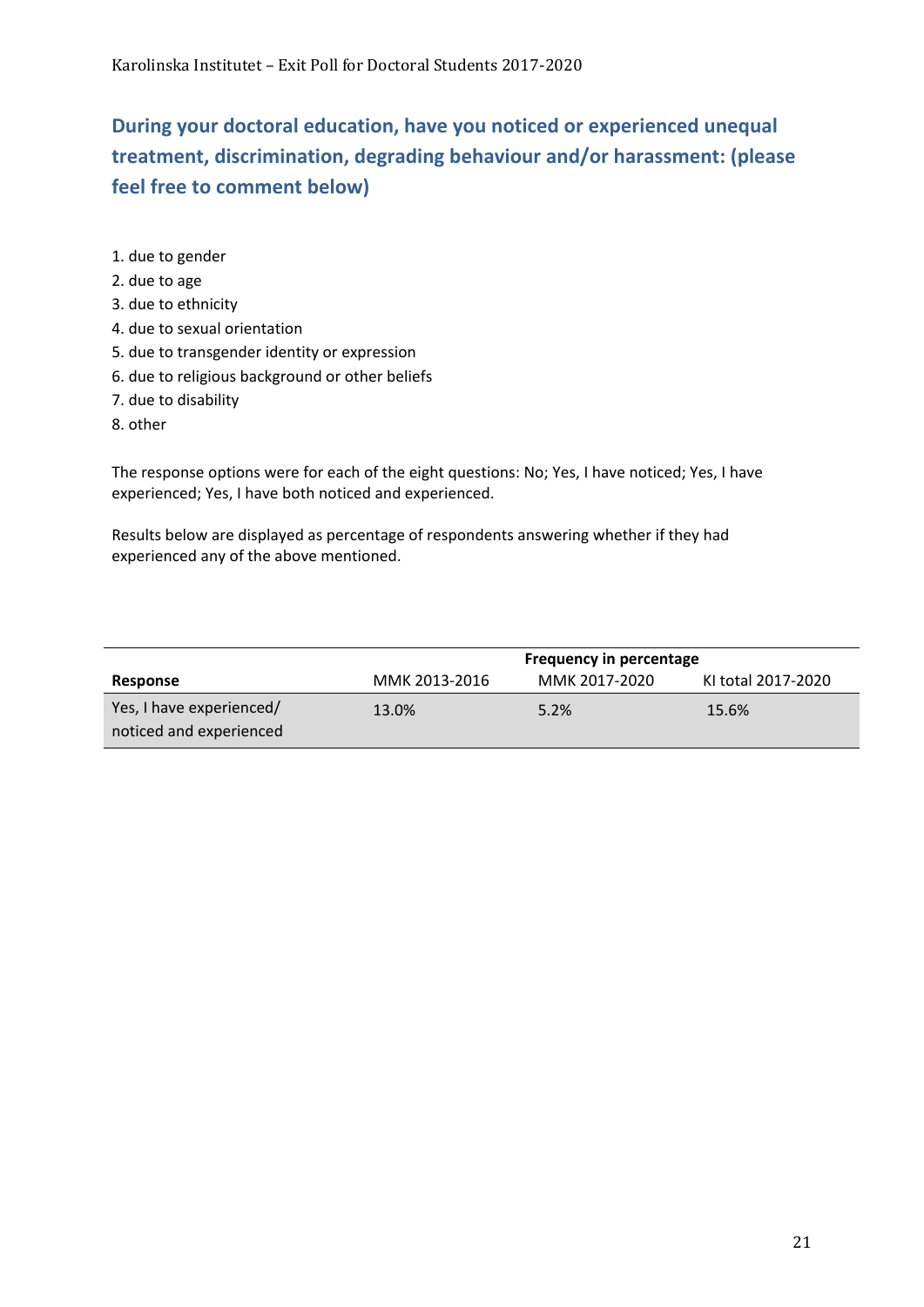## **During your doctoral education, have you noticed or experienced unequal treatment, discrimination, degrading behaviour and/or harassment: (please feel free to comment below)**

- 1. due to gender
- 2. due to age
- 3. due to ethnicity
- 4. due to sexual orientation
- 5. due to transgender identity or expression
- 6. due to religious background or other beliefs
- 7. due to disability
- 8. other

The response options were for each of the eight questions: No; Yes, I have noticed; Yes, I have experienced; Yes, I have both noticed and experienced.

Results below are displayed as percentage of respondents answering whether if they had experienced any of the above mentioned.

|                          | Frequency in percentage |               |                    |
|--------------------------|-------------------------|---------------|--------------------|
| Response                 | MMK 2013-2016           | MMK 2017-2020 | KI total 2017-2020 |
| Yes, I have experienced/ | 13.0%                   | 5.2%          | 15.6%              |
| noticed and experienced  |                         |               |                    |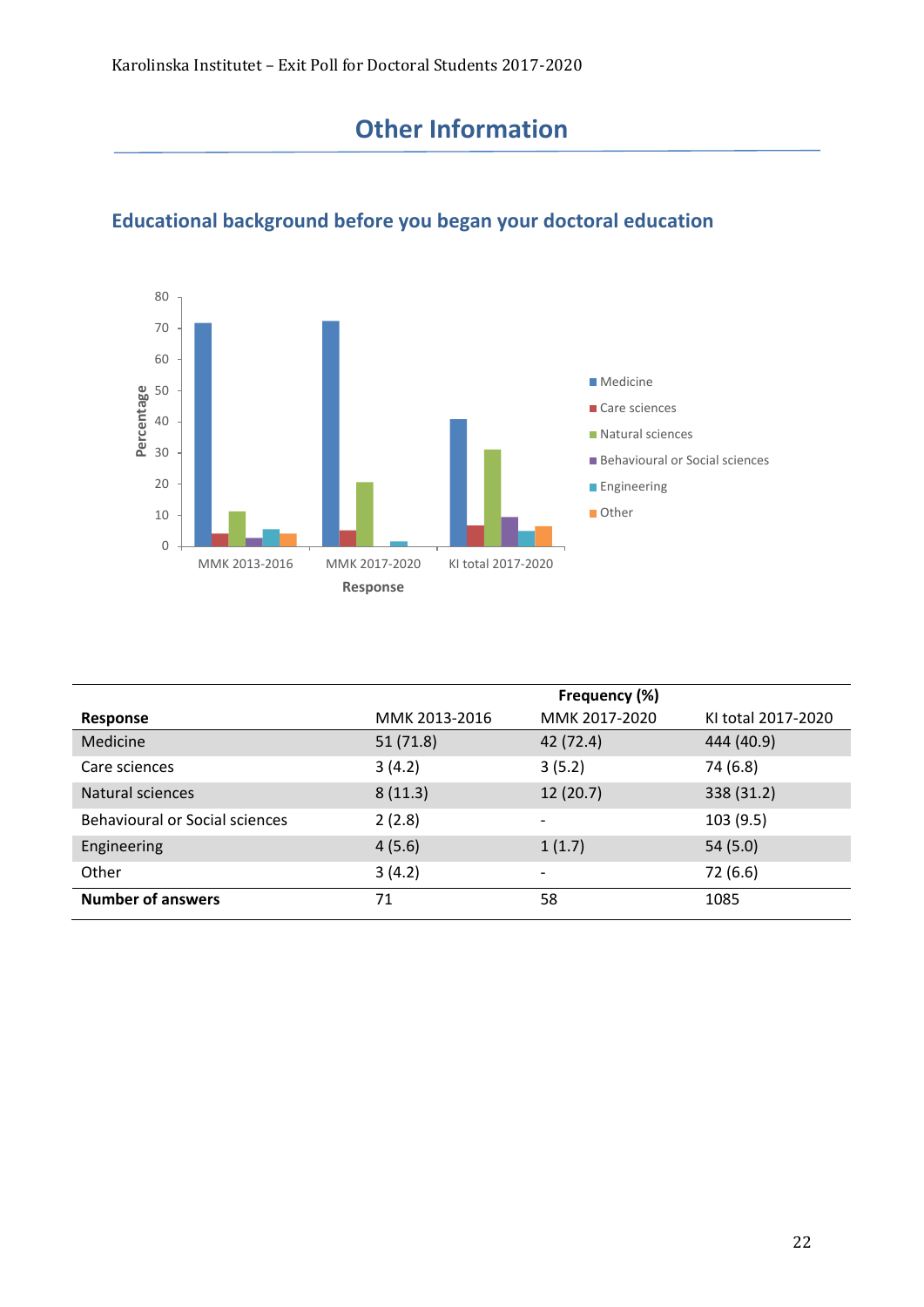## **Other Information**



### **Educational background before you began your doctoral education**

|                                       |               | Frequency (%) |                    |
|---------------------------------------|---------------|---------------|--------------------|
| Response                              | MMK 2013-2016 | MMK 2017-2020 | KI total 2017-2020 |
| Medicine                              | 51(71.8)      | 42 (72.4)     | 444 (40.9)         |
| Care sciences                         | 3(4.2)        | 3(5.2)        | 74 (6.8)           |
| Natural sciences                      | 8(11.3)       | 12(20.7)      | 338 (31.2)         |
| <b>Behavioural or Social sciences</b> | 2(2.8)        |               | 103(9.5)           |
| Engineering                           | 4(5.6)        | 1(1.7)        | 54(5.0)            |
| Other                                 | 3(4.2)        |               | 72 (6.6)           |
| <b>Number of answers</b>              | 71            | 58            | 1085               |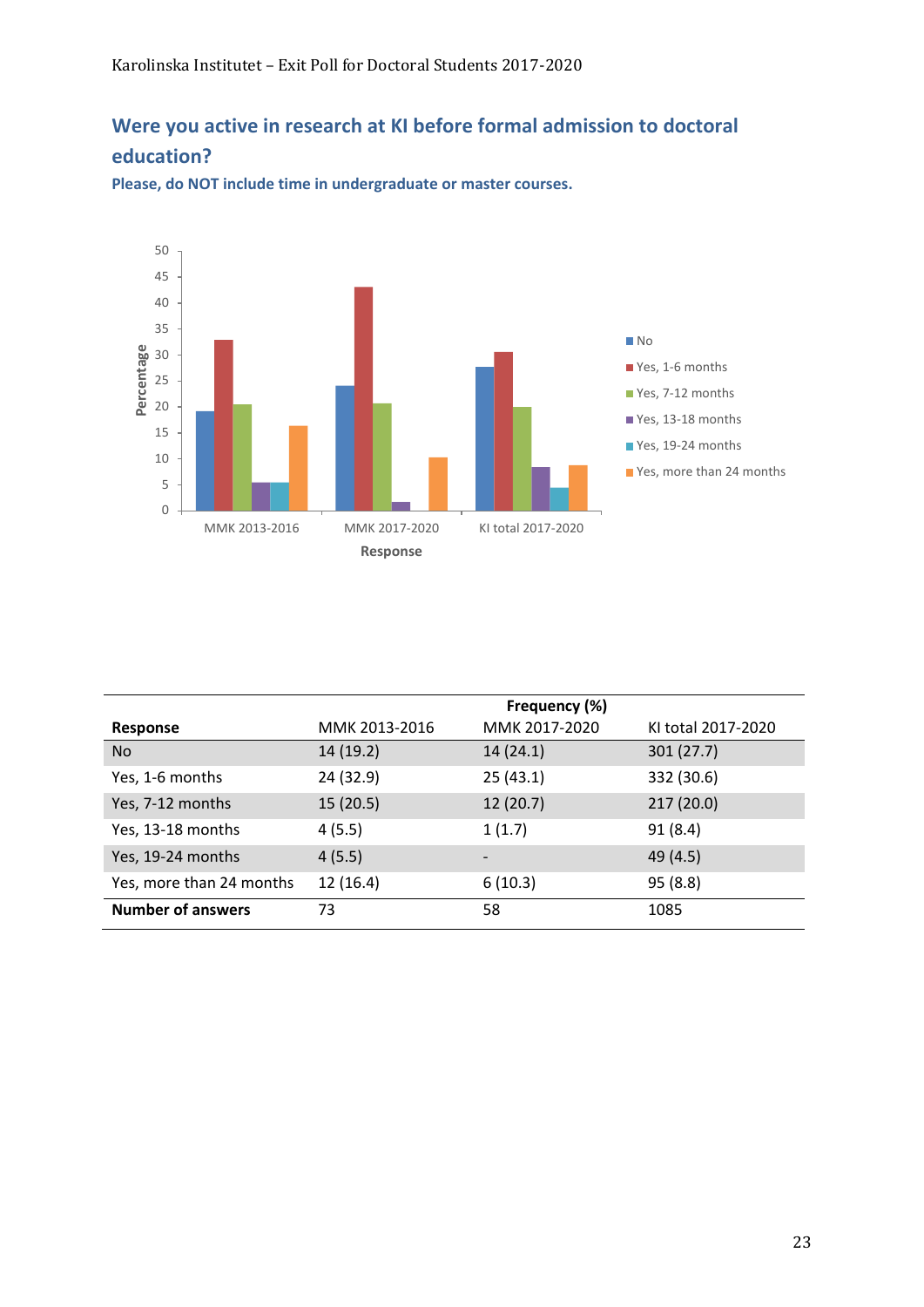#### **Were you active in research at KI before formal admission to doctoral education?**



**Please, do NOT include time in undergraduate or master courses.**

|                          |               | Frequency (%)            |                    |
|--------------------------|---------------|--------------------------|--------------------|
| Response                 | MMK 2013-2016 | MMK 2017-2020            | KI total 2017-2020 |
| No.                      | 14 (19.2)     | 14(24.1)                 | 301(27.7)          |
| Yes, 1-6 months          | 24 (32.9)     | 25(43.1)                 | 332 (30.6)         |
| Yes, 7-12 months         | 15(20.5)      | 12(20.7)                 | 217(20.0)          |
| Yes, 13-18 months        | 4(5.5)        | 1(1.7)                   | 91(8.4)            |
| Yes, 19-24 months        | 4(5.5)        | $\overline{\phantom{a}}$ | 49 (4.5)           |
| Yes, more than 24 months | 12(16.4)      | 6(10.3)                  | 95 (8.8)           |
| <b>Number of answers</b> | 73            | 58                       | 1085               |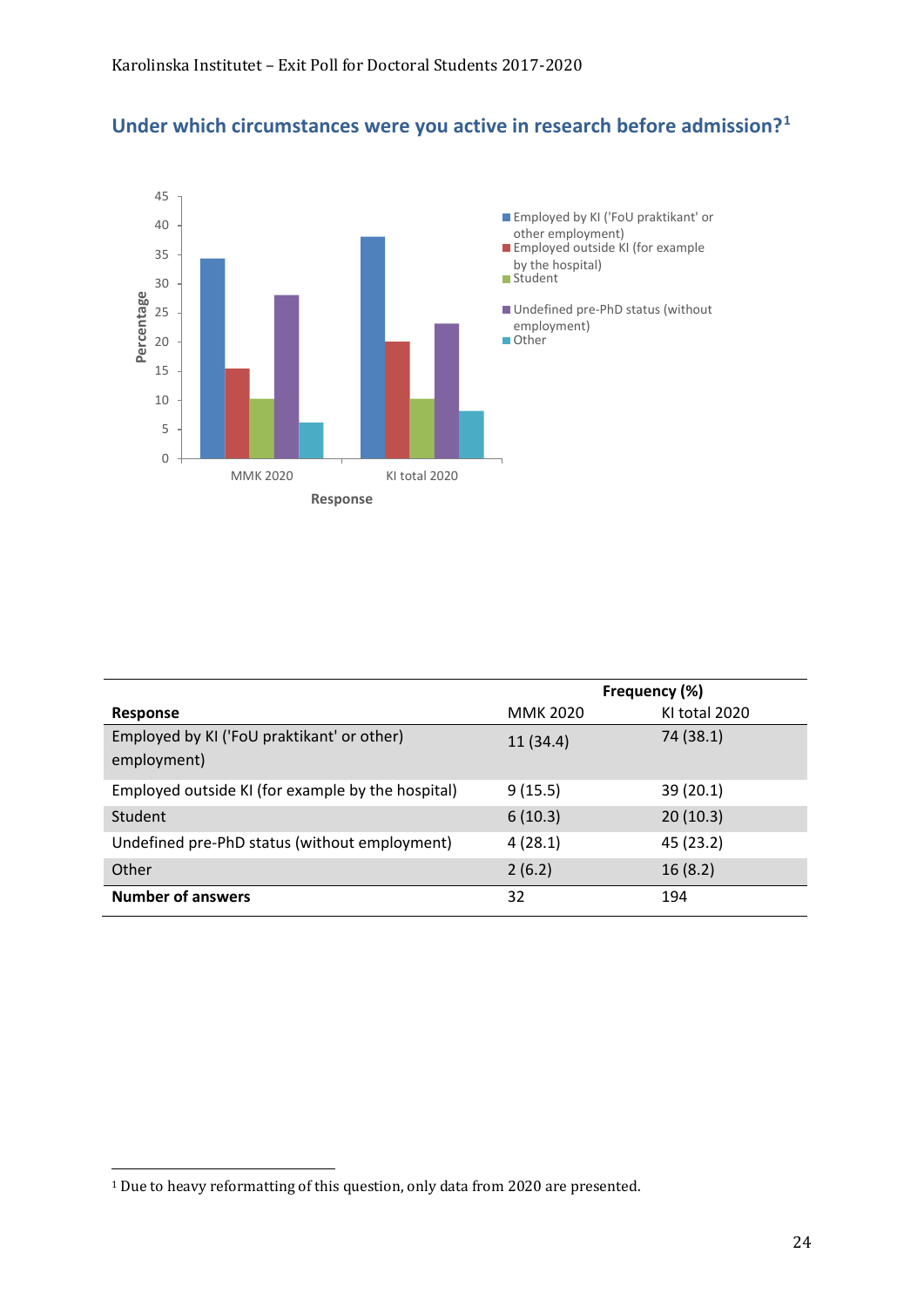#### **Under which circumstances were you active in research before admission?[1](#page-23-0)**



|                                                           | Frequency (%)   |               |
|-----------------------------------------------------------|-----------------|---------------|
| <b>Response</b>                                           | <b>MMK 2020</b> | KI total 2020 |
| Employed by KI ('FoU praktikant' or other)<br>employment) | 11 (34.4)       | 74 (38.1)     |
|                                                           |                 |               |
| Employed outside KI (for example by the hospital)         | 9(15.5)         | 39 (20.1)     |
| Student                                                   | 6(10.3)         | 20(10.3)      |
| Undefined pre-PhD status (without employment)             | 4(28.1)         | 45 (23.2)     |
| Other                                                     | 2(6.2)          | 16(8.2)       |
| <b>Number of answers</b>                                  | 32              | 194           |

<span id="page-23-0"></span><sup>1</sup> Due to heavy reformatting of this question, only data from 2020 are presented.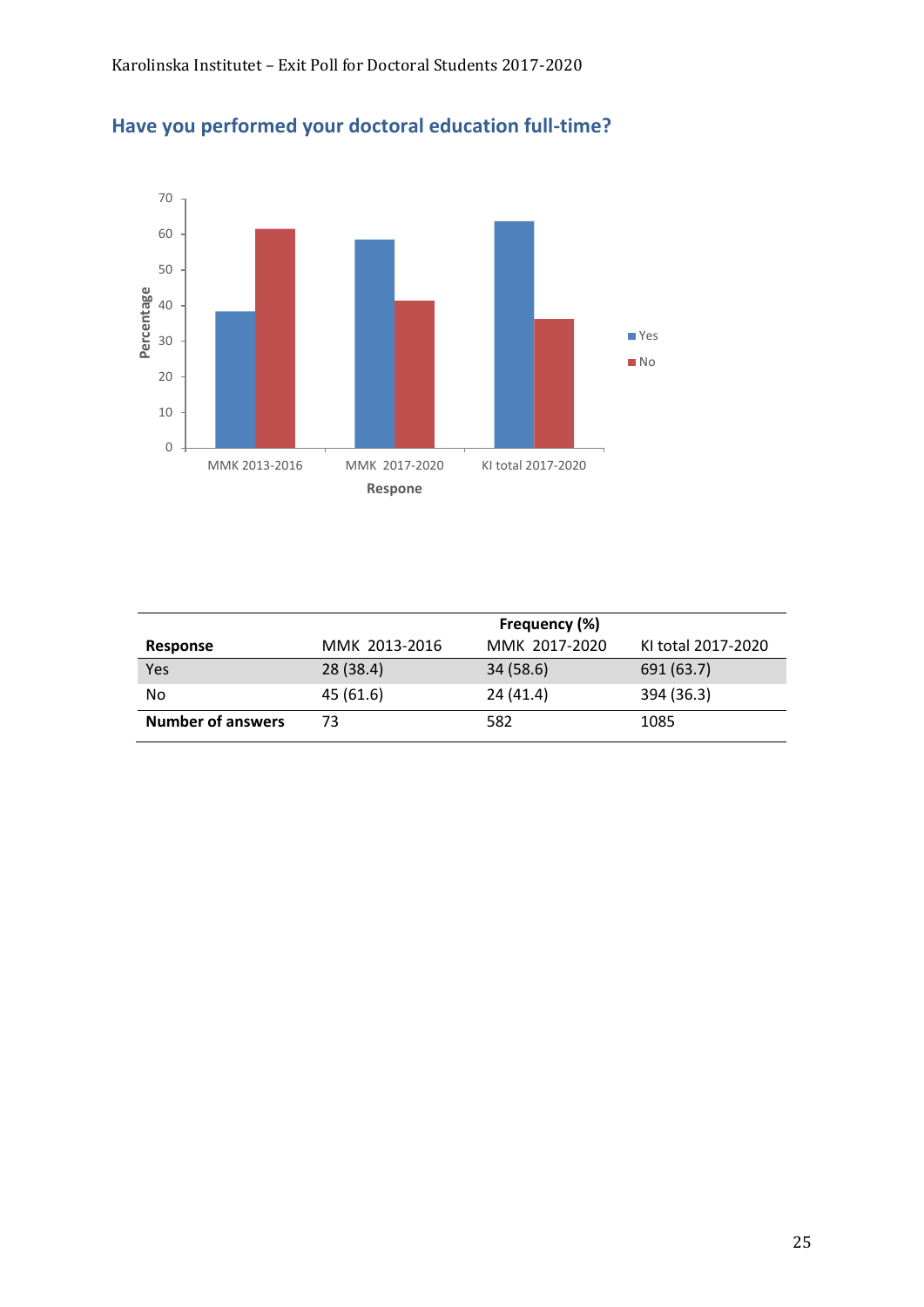

### **Have you performed your doctoral education full-time?**

|                          | Frequency (%) |               |                    |
|--------------------------|---------------|---------------|--------------------|
| Response                 | MMK 2013-2016 | MMK 2017-2020 | KI total 2017-2020 |
| Yes                      | 28(38.4)      | 34(58.6)      | 691 (63.7)         |
| No                       | 45(61.6)      | 24(41.4)      | 394 (36.3)         |
| <b>Number of answers</b> | 73            | 582           | 1085               |